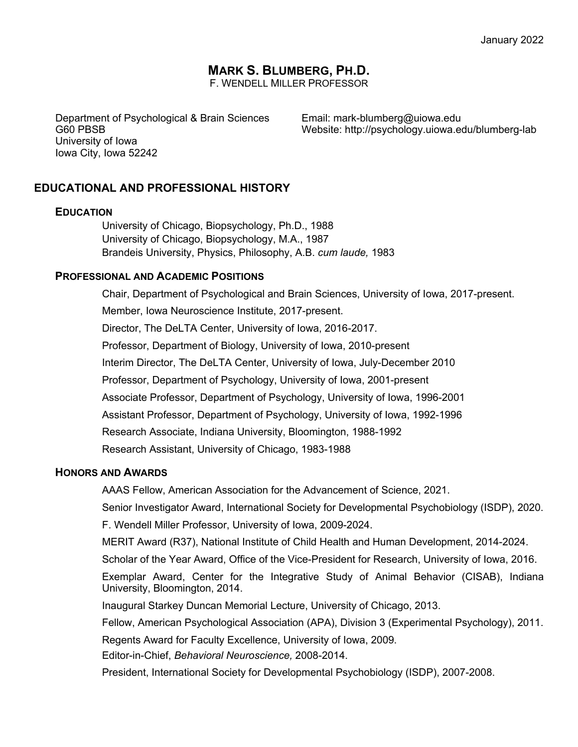# **MARK S. BLUMBERG, PH.D.**

F. WENDELL MILLER PROFESSOR

Department of Psychological & Brain Sciences G60 PBSB University of Iowa Iowa City, Iowa 52242

Email: mark-blumberg@uiowa.edu Website: http://psychology.uiowa.edu/blumberg-lab

# **EDUCATIONAL AND PROFESSIONAL HISTORY**

#### **EDUCATION**

University of Chicago, Biopsychology, Ph.D., 1988 University of Chicago, Biopsychology, M.A., 1987 Brandeis University, Physics, Philosophy, A.B. *cum laude,* 1983

#### **PROFESSIONAL AND ACADEMIC POSITIONS**

Chair, Department of Psychological and Brain Sciences, University of Iowa, 2017-present. Member, Iowa Neuroscience Institute, 2017-present. Director, The DeLTA Center, University of Iowa, 2016-2017. Professor, Department of Biology, University of Iowa, 2010-present Interim Director, The DeLTA Center, University of Iowa, July-December 2010 Professor, Department of Psychology, University of Iowa, 2001-present Associate Professor, Department of Psychology, University of Iowa, 1996-2001 Assistant Professor, Department of Psychology, University of Iowa, 1992-1996 Research Associate, Indiana University, Bloomington, 1988-1992 Research Assistant, University of Chicago, 1983-1988

#### **HONORS AND AWARDS**

AAAS Fellow, American Association for the Advancement of Science, 2021.

Senior Investigator Award, International Society for Developmental Psychobiology (ISDP), 2020.

F. Wendell Miller Professor, University of Iowa, 2009-2024.

MERIT Award (R37), National Institute of Child Health and Human Development, 2014-2024.

Scholar of the Year Award, Office of the Vice-President for Research, University of Iowa, 2016.

Exemplar Award, Center for the Integrative Study of Animal Behavior (CISAB), Indiana University, Bloomington, 2014.

Inaugural Starkey Duncan Memorial Lecture, University of Chicago, 2013.

Fellow, American Psychological Association (APA), Division 3 (Experimental Psychology), 2011.

Regents Award for Faculty Excellence, University of Iowa, 2009.

Editor-in-Chief, *Behavioral Neuroscience,* 2008-2014.

President, International Society for Developmental Psychobiology (ISDP), 2007-2008.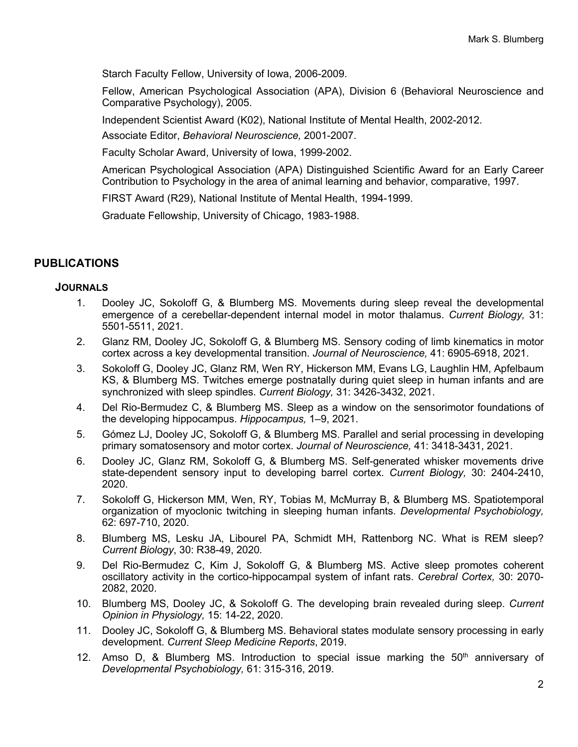Starch Faculty Fellow, University of Iowa, 2006-2009.

Fellow, American Psychological Association (APA), Division 6 (Behavioral Neuroscience and Comparative Psychology), 2005.

Independent Scientist Award (K02), National Institute of Mental Health, 2002-2012. Associate Editor, *Behavioral Neuroscience,* 2001-2007.

Faculty Scholar Award, University of Iowa, 1999-2002.

American Psychological Association (APA) Distinguished Scientific Award for an Early Career Contribution to Psychology in the area of animal learning and behavior, comparative, 1997.

FIRST Award (R29), National Institute of Mental Health, 1994-1999.

Graduate Fellowship, University of Chicago, 1983-1988.

## **PUBLICATIONS**

#### **JOURNALS**

- 1. Dooley JC, Sokoloff G, & Blumberg MS. Movements during sleep reveal the developmental emergence of a cerebellar-dependent internal model in motor thalamus. *Current Biology,* 31: 5501-5511, 2021.
- 2. Glanz RM, Dooley JC, Sokoloff G, & Blumberg MS. Sensory coding of limb kinematics in motor cortex across a key developmental transition. *Journal of Neuroscience,* 41: 6905-6918, 2021.
- 3. Sokoloff G, Dooley JC, Glanz RM, Wen RY, Hickerson MM, Evans LG, Laughlin HM, Apfelbaum KS, & Blumberg MS. Twitches emerge postnatally during quiet sleep in human infants and are synchronized with sleep spindles. *Current Biology,* 31: 3426-3432, 2021.
- 4. Del Rio-Bermudez C, & Blumberg MS. Sleep as a window on the sensorimotor foundations of the developing hippocampus. *Hippocampus,* 1–9, 2021.
- 5. Gómez LJ, Dooley JC, Sokoloff G, & Blumberg MS. Parallel and serial processing in developing primary somatosensory and motor cortex. *Journal of Neuroscience,* 41: 3418-3431, 2021.
- 6. Dooley JC, Glanz RM, Sokoloff G, & Blumberg MS. Self-generated whisker movements drive state-dependent sensory input to developing barrel cortex. *Current Biology,* 30: 2404-2410, 2020.
- 7. Sokoloff G, Hickerson MM, Wen, RY, Tobias M, McMurray B, & Blumberg MS. Spatiotemporal organization of myoclonic twitching in sleeping human infants. *Developmental Psychobiology,* 62: 697-710, 2020.
- 8. Blumberg MS, Lesku JA, Libourel PA, Schmidt MH, Rattenborg NC. What is REM sleep? *Current Biology*, 30: R38-49, 2020*.*
- 9. Del Rio-Bermudez C, Kim J, Sokoloff G, & Blumberg MS. Active sleep promotes coherent oscillatory activity in the cortico-hippocampal system of infant rats. *Cerebral Cortex,* 30: 2070- 2082, 2020.
- 10. Blumberg MS, Dooley JC, & Sokoloff G. The developing brain revealed during sleep. *Current Opinion in Physiology,* 15: 14-22, 2020.
- 11. Dooley JC, Sokoloff G, & Blumberg MS. Behavioral states modulate sensory processing in early development. *Current Sleep Medicine Reports*, 2019.
- 12. Amso D, & Blumberg MS. Introduction to special issue marking the  $50<sup>th</sup>$  anniversary of *Developmental Psychobiology,* 61: 315-316, 2019.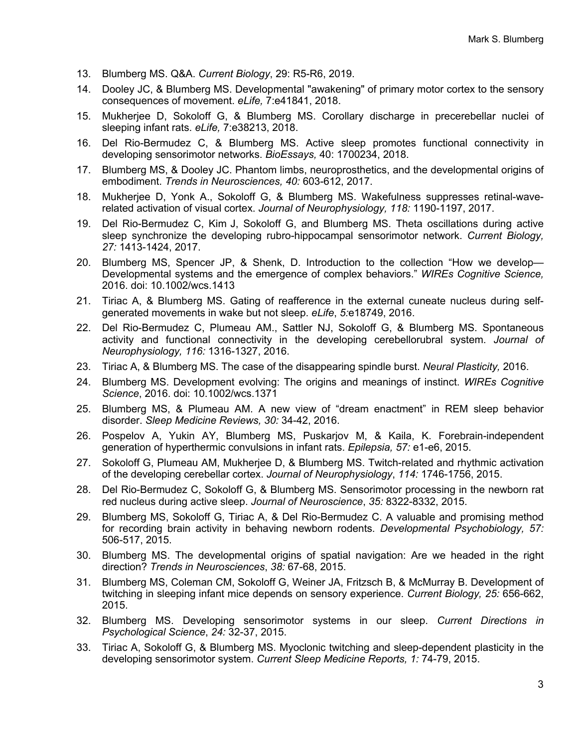- 13. Blumberg MS. Q&A. *Current Biology*, 29: R5-R6, 2019.
- 14. Dooley JC, & Blumberg MS. Developmental "awakening" of primary motor cortex to the sensory consequences of movement. *eLife,* 7:e41841, 2018.
- 15. Mukherjee D, Sokoloff G, & Blumberg MS. Corollary discharge in precerebellar nuclei of sleeping infant rats. *eLife,* 7:e38213, 2018.
- 16. Del Rio-Bermudez C, & Blumberg MS. Active sleep promotes functional connectivity in developing sensorimotor networks. *BioEssays,* 40: 1700234, 2018.
- 17. Blumberg MS, & Dooley JC. Phantom limbs, neuroprosthetics, and the developmental origins of embodiment. *Trends in Neurosciences, 40:* 603-612, 2017.
- 18. Mukherjee D, Yonk A., Sokoloff G, & Blumberg MS. Wakefulness suppresses retinal-waverelated activation of visual cortex. *Journal of Neurophysiology, 118:* 1190-1197, 2017.
- 19. Del Rio-Bermudez C, Kim J, Sokoloff G, and Blumberg MS. Theta oscillations during active sleep synchronize the developing rubro-hippocampal sensorimotor network. *Current Biology, 27:* 1413-1424, 2017.
- 20. Blumberg MS, Spencer JP, & Shenk, D. Introduction to the collection "How we develop— Developmental systems and the emergence of complex behaviors." *WIREs Cognitive Science,*  2016. doi: 10.1002/wcs.1413
- 21. Tiriac A, & Blumberg MS. Gating of reafference in the external cuneate nucleus during selfgenerated movements in wake but not sleep. *eLife*, *5:*e18749, 2016.
- 22. Del Rio-Bermudez C, Plumeau AM., Sattler NJ, Sokoloff G, & Blumberg MS. Spontaneous activity and functional connectivity in the developing cerebellorubral system. *Journal of Neurophysiology, 116:* 1316-1327, 2016.
- 23. Tiriac A, & Blumberg MS. The case of the disappearing spindle burst. *Neural Plasticity,* 2016.
- 24. Blumberg MS. Development evolving: The origins and meanings of instinct. *WIREs Cognitive Science*, 2016. doi: 10.1002/wcs.1371
- 25. Blumberg MS, & Plumeau AM. A new view of "dream enactment" in REM sleep behavior disorder. *Sleep Medicine Reviews, 30:* 34-42, 2016.
- 26. Pospelov A, Yukin AY, Blumberg MS, Puskarjov M, & Kaila, K. Forebrain-independent generation of hyperthermic convulsions in infant rats. *Epilepsia, 57:* e1-e6, 2015.
- 27. Sokoloff G, Plumeau AM, Mukherjee D, & Blumberg MS. Twitch-related and rhythmic activation of the developing cerebellar cortex. *Journal of Neurophysiology*, *114:* 1746-1756, 2015.
- 28. Del Rio-Bermudez C, Sokoloff G, & Blumberg MS. Sensorimotor processing in the newborn rat red nucleus during active sleep. *Journal of Neuroscience*, *35:* 8322-8332, 2015.
- 29. Blumberg MS, Sokoloff G, Tiriac A, & Del Rio-Bermudez C. A valuable and promising method for recording brain activity in behaving newborn rodents. *Developmental Psychobiology, 57:* 506-517, 2015.
- 30. Blumberg MS. The developmental origins of spatial navigation: Are we headed in the right direction? *Trends in Neurosciences*, *38:* 67-68, 2015.
- 31. Blumberg MS, Coleman CM, Sokoloff G, Weiner JA, Fritzsch B, & McMurray B. Development of twitching in sleeping infant mice depends on sensory experience. *Current Biology, 25:* 656-662, 2015.
- 32. Blumberg MS. Developing sensorimotor systems in our sleep. *Current Directions in Psychological Science*, *24:* 32-37, 2015.
- 33. Tiriac A, Sokoloff G, & Blumberg MS. Myoclonic twitching and sleep-dependent plasticity in the developing sensorimotor system. *Current Sleep Medicine Reports, 1:* 74-79, 2015.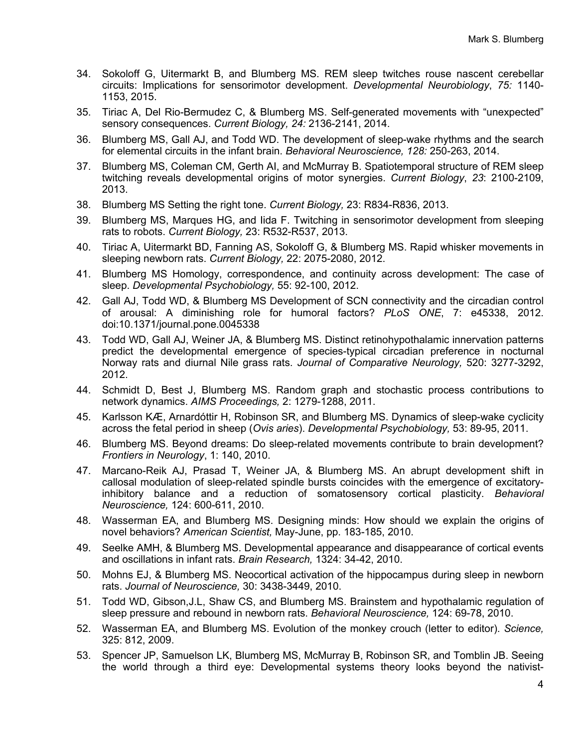- 34. Sokoloff G, Uitermarkt B, and Blumberg MS. REM sleep twitches rouse nascent cerebellar circuits: Implications for sensorimotor development. *Developmental Neurobiology*, *75:* 1140- 1153, 2015.
- 35. Tiriac A, Del Rio-Bermudez C, & Blumberg MS. Self-generated movements with "unexpected" sensory consequences. *Current Biology, 24:* 2136-2141, 2014.
- 36. Blumberg MS, Gall AJ, and Todd WD. The development of sleep-wake rhythms and the search for elemental circuits in the infant brain. *Behavioral Neuroscience, 128:* 250-263, 2014.
- 37. Blumberg MS, Coleman CM, Gerth AI, and McMurray B. Spatiotemporal structure of REM sleep twitching reveals developmental origins of motor synergies. *Current Biology*, *23*: 2100-2109, 2013.
- 38. Blumberg MS Setting the right tone. *Current Biology,* 23: R834-R836, 2013.
- 39. Blumberg MS, Marques HG, and Iida F. Twitching in sensorimotor development from sleeping rats to robots. *Current Biology,* 23: R532-R537, 2013.
- 40. Tiriac A, Uitermarkt BD, Fanning AS, Sokoloff G, & Blumberg MS. Rapid whisker movements in sleeping newborn rats. *Current Biology,* 22: 2075-2080, 2012.
- 41. Blumberg MS Homology, correspondence, and continuity across development: The case of sleep. *Developmental Psychobiology,* 55: 92-100, 2012.
- 42. Gall AJ, Todd WD, & Blumberg MS Development of SCN connectivity and the circadian control of arousal: A diminishing role for humoral factors? *PLoS ONE*, 7: e45338, 2012. doi:10.1371/journal.pone.0045338
- 43. Todd WD, Gall AJ, Weiner JA, & Blumberg MS. Distinct retinohypothalamic innervation patterns predict the developmental emergence of species-typical circadian preference in nocturnal Norway rats and diurnal Nile grass rats. *Journal of Comparative Neurology,* 520: 3277-3292, 2012.
- 44. Schmidt D, Best J, Blumberg MS. Random graph and stochastic process contributions to network dynamics. *AIMS Proceedings,* 2: 1279-1288, 2011.
- 45. Karlsson KÆ, Arnardóttir H, Robinson SR, and Blumberg MS. Dynamics of sleep-wake cyclicity across the fetal period in sheep (*Ovis aries*). *Developmental Psychobiology,* 53: 89-95, 2011.
- 46. Blumberg MS. Beyond dreams: Do sleep-related movements contribute to brain development? *Frontiers in Neurology*, 1: 140, 2010.
- 47. Marcano-Reik AJ, Prasad T, Weiner JA, & Blumberg MS. An abrupt development shift in callosal modulation of sleep-related spindle bursts coincides with the emergence of excitatoryinhibitory balance and a reduction of somatosensory cortical plasticity. *Behavioral Neuroscience,* 124: 600-611, 2010.
- 48. Wasserman EA, and Blumberg MS. Designing minds: How should we explain the origins of novel behaviors? *American Scientist,* May-June, pp. 183-185, 2010.
- 49. Seelke AMH, & Blumberg MS. Developmental appearance and disappearance of cortical events and oscillations in infant rats. *Brain Research,* 1324: 34-42, 2010.
- 50. Mohns EJ, & Blumberg MS. Neocortical activation of the hippocampus during sleep in newborn rats. *Journal of Neuroscience,* 30: 3438-3449, 2010.
- 51. Todd WD, Gibson,J.L, Shaw CS, and Blumberg MS. Brainstem and hypothalamic regulation of sleep pressure and rebound in newborn rats. *Behavioral Neuroscience,* 124: 69-78, 2010.
- 52. Wasserman EA, and Blumberg MS. Evolution of the monkey crouch (letter to editor). *Science,* 325: 812, 2009.
- 53. Spencer JP, Samuelson LK, Blumberg MS, McMurray B, Robinson SR, and Tomblin JB. Seeing the world through a third eye: Developmental systems theory looks beyond the nativist-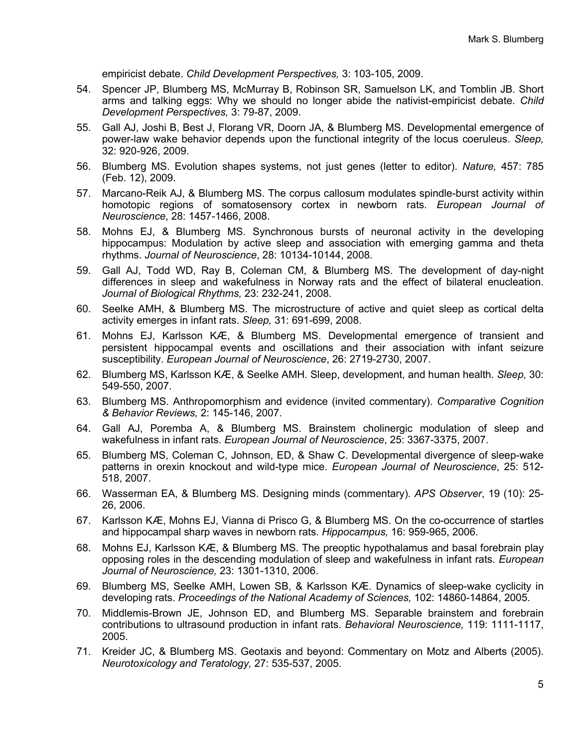empiricist debate. *Child Development Perspectives,* 3: 103-105, 2009.

- 54. Spencer JP, Blumberg MS, McMurray B, Robinson SR, Samuelson LK, and Tomblin JB. Short arms and talking eggs: Why we should no longer abide the nativist-empiricist debate. *Child Development Perspectives,* 3: 79-87, 2009.
- 55. Gall AJ, Joshi B, Best J, Florang VR, Doorn JA, & Blumberg MS. Developmental emergence of power-law wake behavior depends upon the functional integrity of the locus coeruleus. *Sleep,* 32: 920-926, 2009.
- 56. Blumberg MS. Evolution shapes systems, not just genes (letter to editor). *Nature,* 457: 785 (Feb. 12), 2009.
- 57. Marcano-Reik AJ, & Blumberg MS. The corpus callosum modulates spindle-burst activity within homotopic regions of somatosensory cortex in newborn rats. *European Journal of Neuroscience*, 28: 1457-1466, 2008.
- 58. Mohns EJ, & Blumberg MS. Synchronous bursts of neuronal activity in the developing hippocampus: Modulation by active sleep and association with emerging gamma and theta rhythms. *Journal of Neuroscience*, 28: 10134-10144, 2008.
- 59. Gall AJ, Todd WD, Ray B, Coleman CM, & Blumberg MS. The development of day-night differences in sleep and wakefulness in Norway rats and the effect of bilateral enucleation. *Journal of Biological Rhythms,* 23: 232-241, 2008.
- 60. Seelke AMH, & Blumberg MS. The microstructure of active and quiet sleep as cortical delta activity emerges in infant rats. *Sleep,* 31: 691-699, 2008.
- 61. Mohns EJ, Karlsson KÆ, & Blumberg MS. Developmental emergence of transient and persistent hippocampal events and oscillations and their association with infant seizure susceptibility. *European Journal of Neuroscience*, 26: 2719-2730, 2007.
- 62. Blumberg MS, Karlsson KÆ, & Seelke AMH. Sleep, development, and human health. *Sleep,* 30: 549-550, 2007.
- 63. Blumberg MS. Anthropomorphism and evidence (invited commentary). *Comparative Cognition & Behavior Reviews,* 2: 145-146, 2007.
- 64. Gall AJ, Poremba A, & Blumberg MS. Brainstem cholinergic modulation of sleep and wakefulness in infant rats. *European Journal of Neuroscience*, 25: 3367-3375, 2007.
- 65. Blumberg MS, Coleman C, Johnson, ED, & Shaw C. Developmental divergence of sleep-wake patterns in orexin knockout and wild-type mice. *European Journal of Neuroscience*, 25: 512- 518, 2007.
- 66. Wasserman EA, & Blumberg MS. Designing minds (commentary). *APS Observer*, 19 (10): 25- 26, 2006.
- 67. Karlsson KÆ, Mohns EJ, Vianna di Prisco G, & Blumberg MS. On the co-occurrence of startles and hippocampal sharp waves in newborn rats. *Hippocampus,* 16: 959-965, 2006.
- 68. Mohns EJ, Karlsson KÆ, & Blumberg MS. The preoptic hypothalamus and basal forebrain play opposing roles in the descending modulation of sleep and wakefulness in infant rats. *European Journal of Neuroscience,* 23: 1301-1310, 2006.
- 69. Blumberg MS, Seelke AMH, Lowen SB, & Karlsson KÆ. Dynamics of sleep-wake cyclicity in developing rats. *Proceedings of the National Academy of Sciences,* 102: 14860-14864, 2005.
- 70. Middlemis-Brown JE, Johnson ED, and Blumberg MS. Separable brainstem and forebrain contributions to ultrasound production in infant rats. *Behavioral Neuroscience,* 119: 1111-1117, 2005.
- 71. Kreider JC, & Blumberg MS. Geotaxis and beyond: Commentary on Motz and Alberts (2005). *Neurotoxicology and Teratology,* 27: 535-537, 2005.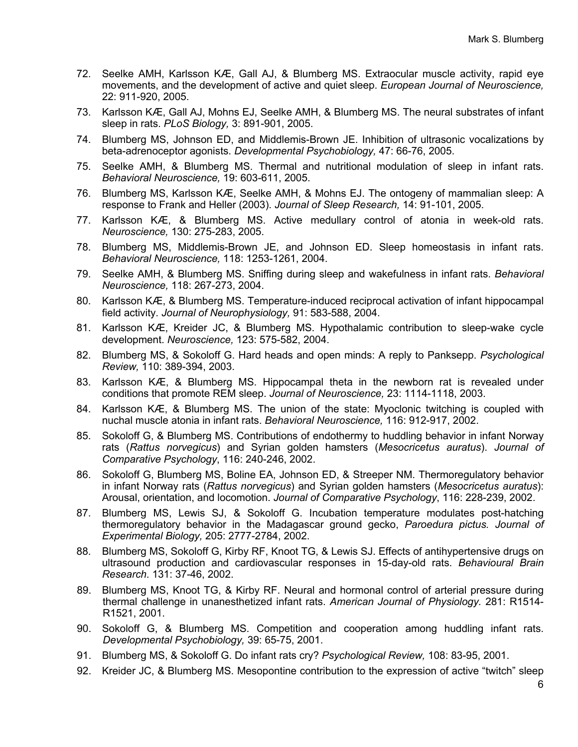- 72. Seelke AMH, Karlsson KÆ, Gall AJ, & Blumberg MS. Extraocular muscle activity, rapid eye movements, and the development of active and quiet sleep. *European Journal of Neuroscience,* 22: 911-920, 2005.
- 73. Karlsson KÆ, Gall AJ, Mohns EJ, Seelke AMH, & Blumberg MS. The neural substrates of infant sleep in rats. *PLoS Biology,* 3: 891-901, 2005.
- 74. Blumberg MS, Johnson ED, and Middlemis-Brown JE. Inhibition of ultrasonic vocalizations by beta-adrenoceptor agonists. *Developmental Psychobiology,* 47: 66-76, 2005.
- 75. Seelke AMH, & Blumberg MS. Thermal and nutritional modulation of sleep in infant rats. *Behavioral Neuroscience,* 19: 603-611, 2005.
- 76. Blumberg MS, Karlsson KÆ, Seelke AMH, & Mohns EJ. The ontogeny of mammalian sleep: A response to Frank and Heller (2003). *Journal of Sleep Research,* 14: 91-101, 2005.
- 77. Karlsson KÆ, & Blumberg MS. Active medullary control of atonia in week-old rats. *Neuroscience,* 130: 275-283, 2005.
- 78. Blumberg MS, Middlemis-Brown JE, and Johnson ED. Sleep homeostasis in infant rats. *Behavioral Neuroscience,* 118: 1253-1261, 2004.
- 79. Seelke AMH, & Blumberg MS. Sniffing during sleep and wakefulness in infant rats. *Behavioral Neuroscience,* 118: 267-273, 2004.
- 80. Karlsson KÆ, & Blumberg MS. Temperature-induced reciprocal activation of infant hippocampal field activity. *Journal of Neurophysiology,* 91: 583-588, 2004.
- 81. Karlsson KÆ, Kreider JC, & Blumberg MS. Hypothalamic contribution to sleep-wake cycle development. *Neuroscience,* 123: 575-582, 2004.
- 82. Blumberg MS, & Sokoloff G. Hard heads and open minds: A reply to Panksepp. *Psychological Review,* 110: 389-394, 2003.
- 83. Karlsson KÆ, & Blumberg MS. Hippocampal theta in the newborn rat is revealed under conditions that promote REM sleep. *Journal of Neuroscience,* 23: 1114-1118, 2003.
- 84. Karlsson KÆ, & Blumberg MS. The union of the state: Myoclonic twitching is coupled with nuchal muscle atonia in infant rats. *Behavioral Neuroscience,* 116: 912-917, 2002.
- 85. Sokoloff G, & Blumberg MS. Contributions of endothermy to huddling behavior in infant Norway rats (*Rattus norvegicus*) and Syrian golden hamsters (*Mesocricetus auratus*). *Journal of Comparative Psychology*, 116: 240-246, 2002.
- 86. Sokoloff G, Blumberg MS, Boline EA, Johnson ED, & Streeper NM. Thermoregulatory behavior in infant Norway rats (*Rattus norvegicus*) and Syrian golden hamsters (*Mesocricetus auratus*): Arousal, orientation, and locomotion. *Journal of Comparative Psychology*, 116: 228-239, 2002.
- 87. Blumberg MS, Lewis SJ, & Sokoloff G. Incubation temperature modulates post-hatching thermoregulatory behavior in the Madagascar ground gecko, *Paroedura pictus. Journal of Experimental Biology,* 205: 2777-2784, 2002.
- 88. Blumberg MS, Sokoloff G, Kirby RF, Knoot TG, & Lewis SJ. Effects of antihypertensive drugs on ultrasound production and cardiovascular responses in 15-day-old rats. *Behavioural Brain Research*. 131: 37-46, 2002.
- 89. Blumberg MS, Knoot TG, & Kirby RF. Neural and hormonal control of arterial pressure during thermal challenge in unanesthetized infant rats. *American Journal of Physiology.* 281: R1514- R1521, 2001.
- 90. Sokoloff G, & Blumberg MS. Competition and cooperation among huddling infant rats. *Developmental Psychobiology,* 39: 65-75, 2001.
- 91. Blumberg MS, & Sokoloff G. Do infant rats cry? *Psychological Review,* 108: 83-95, 2001.
- 92. Kreider JC, & Blumberg MS. Mesopontine contribution to the expression of active "twitch" sleep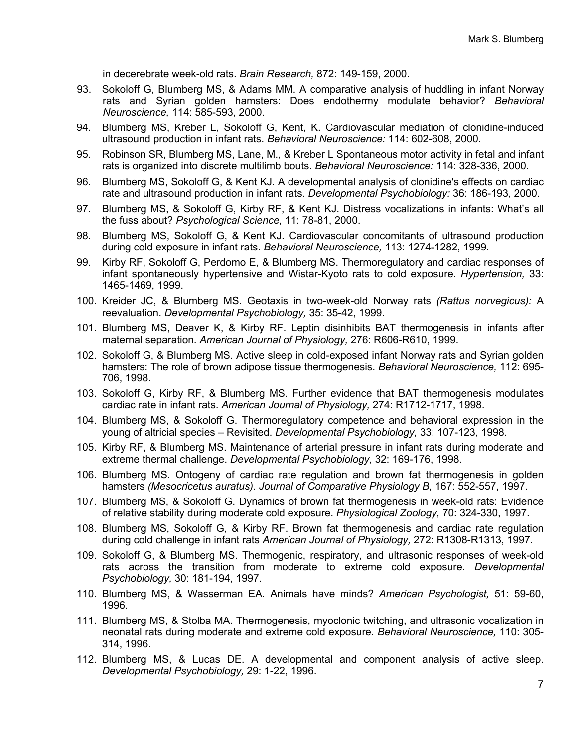in decerebrate week-old rats. *Brain Research,* 872: 149-159, 2000.

- 93. Sokoloff G, Blumberg MS, & Adams MM. A comparative analysis of huddling in infant Norway rats and Syrian golden hamsters: Does endothermy modulate behavior? *Behavioral Neuroscience,* 114: 585-593, 2000.
- 94. Blumberg MS, Kreber L, Sokoloff G, Kent, K. Cardiovascular mediation of clonidine-induced ultrasound production in infant rats. *Behavioral Neuroscience:* 114: 602-608, 2000.
- 95. Robinson SR, Blumberg MS, Lane, M., & Kreber L Spontaneous motor activity in fetal and infant rats is organized into discrete multilimb bouts. *Behavioral Neuroscience:* 114: 328-336, 2000.
- 96. Blumberg MS, Sokoloff G, & Kent KJ. A developmental analysis of clonidine's effects on cardiac rate and ultrasound production in infant rats. *Developmental Psychobiology:* 36: 186-193, 2000.
- 97. Blumberg MS, & Sokoloff G, Kirby RF, & Kent KJ. Distress vocalizations in infants: What's all the fuss about? *Psychological Science,* 11: 78-81, 2000.
- 98. Blumberg MS, Sokoloff G, & Kent KJ. Cardiovascular concomitants of ultrasound production during cold exposure in infant rats. *Behavioral Neuroscience,* 113: 1274-1282, 1999.
- 99. Kirby RF, Sokoloff G, Perdomo E, & Blumberg MS. Thermoregulatory and cardiac responses of infant spontaneously hypertensive and Wistar-Kyoto rats to cold exposure. *Hypertension,* 33: 1465-1469, 1999.
- 100. Kreider JC, & Blumberg MS. Geotaxis in two-week-old Norway rats *(Rattus norvegicus):* A reevaluation. *Developmental Psychobiology,* 35: 35-42, 1999.
- 101. Blumberg MS, Deaver K, & Kirby RF. Leptin disinhibits BAT thermogenesis in infants after maternal separation. *American Journal of Physiology,* 276: R606-R610, 1999.
- 102. Sokoloff G, & Blumberg MS. Active sleep in cold-exposed infant Norway rats and Syrian golden hamsters: The role of brown adipose tissue thermogenesis. *Behavioral Neuroscience,* 112: 695- 706, 1998.
- 103. Sokoloff G, Kirby RF, & Blumberg MS. Further evidence that BAT thermogenesis modulates cardiac rate in infant rats. *American Journal of Physiology,* 274: R1712-1717, 1998.
- 104. Blumberg MS, & Sokoloff G. Thermoregulatory competence and behavioral expression in the young of altricial species – Revisited. *Developmental Psychobiology,* 33: 107-123, 1998.
- 105. Kirby RF, & Blumberg MS. Maintenance of arterial pressure in infant rats during moderate and extreme thermal challenge. *Developmental Psychobiology,* 32: 169-176, 1998.
- 106. Blumberg MS. Ontogeny of cardiac rate regulation and brown fat thermogenesis in golden hamsters *(Mesocricetus auratus)*. *Journal of Comparative Physiology B,* 167: 552-557, 1997.
- 107. Blumberg MS, & Sokoloff G. Dynamics of brown fat thermogenesis in week-old rats: Evidence of relative stability during moderate cold exposure. *Physiological Zoology,* 70: 324-330, 1997.
- 108. Blumberg MS, Sokoloff G, & Kirby RF. Brown fat thermogenesis and cardiac rate regulation during cold challenge in infant rats *American Journal of Physiology,* 272: R1308-R1313, 1997.
- 109. Sokoloff G, & Blumberg MS. Thermogenic, respiratory, and ultrasonic responses of week-old rats across the transition from moderate to extreme cold exposure. *Developmental Psychobiology,* 30: 181-194, 1997.
- 110. Blumberg MS, & Wasserman EA. Animals have minds? *American Psychologist,* 51: 59-60, 1996.
- 111. Blumberg MS, & Stolba MA. Thermogenesis, myoclonic twitching, and ultrasonic vocalization in neonatal rats during moderate and extreme cold exposure. *Behavioral Neuroscience,* 110: 305- 314, 1996.
- 112. Blumberg MS, & Lucas DE. A developmental and component analysis of active sleep. *Developmental Psychobiology,* 29: 1-22, 1996.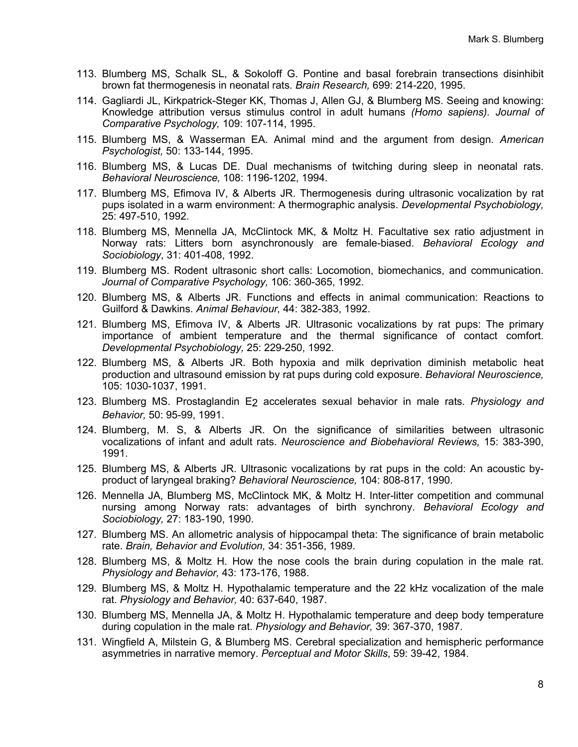- 113. Blumberg MS, Schalk SL, & Sokoloff G. Pontine and basal forebrain transections disinhibit brown fat thermogenesis in neonatal rats. *Brain Research,* 699: 214-220, 1995.
- 114. Gagliardi JL, Kirkpatrick-Steger KK, Thomas J, Allen GJ, & Blumberg MS. Seeing and knowing: Knowledge attribution versus stimulus control in adult humans *(Homo sapiens). Journal of Comparative Psychology,* 109: 107-114, 1995.
- 115. Blumberg MS, & Wasserman EA. Animal mind and the argument from design. *American Psychologist,* 50: 133-144, 1995.
- 116. Blumberg MS, & Lucas DE. Dual mechanisms of twitching during sleep in neonatal rats. *Behavioral Neuroscience,* 108: 1196-1202, 1994.
- 117. Blumberg MS, Efimova IV, & Alberts JR. Thermogenesis during ultrasonic vocalization by rat pups isolated in a warm environment: A thermographic analysis. *Developmental Psychobiology,* 25: 497-510, 1992.
- 118. Blumberg MS, Mennella JA, McClintock MK, & Moltz H. Facultative sex ratio adjustment in Norway rats: Litters born asynchronously are female-biased. *Behavioral Ecology and Sociobiology*, 31: 401-408, 1992.
- 119. Blumberg MS. Rodent ultrasonic short calls: Locomotion, biomechanics, and communication. *Journal of Comparative Psychology,* 106: 360-365, 1992.
- 120. Blumberg MS, & Alberts JR. Functions and effects in animal communication: Reactions to Guilford & Dawkins. *Animal Behaviour,* 44: 382-383, 1992.
- 121. Blumberg MS, Efimova IV, & Alberts JR. Ultrasonic vocalizations by rat pups: The primary importance of ambient temperature and the thermal significance of contact comfort. *Developmental Psychobiology,* 25: 229-250, 1992.
- 122. Blumberg MS, & Alberts JR. Both hypoxia and milk deprivation diminish metabolic heat production and ultrasound emission by rat pups during cold exposure. *Behavioral Neuroscience,* 105: 1030-1037, 1991.
- 123. Blumberg MS. Prostaglandin E2 accelerates sexual behavior in male rats. *Physiology and Behavior,* 50: 95-99, 1991.
- 124. Blumberg, M. S, & Alberts JR. On the significance of similarities between ultrasonic vocalizations of infant and adult rats. *Neuroscience and Biobehavioral Reviews,* 15: 383-390, 1991.
- 125. Blumberg MS, & Alberts JR. Ultrasonic vocalizations by rat pups in the cold: An acoustic byproduct of laryngeal braking? *Behavioral Neuroscience,* 104: 808-817, 1990.
- 126. Mennella JA, Blumberg MS, McClintock MK, & Moltz H. Inter-litter competition and communal nursing among Norway rats: advantages of birth synchrony. *Behavioral Ecology and Sociobiology,* 27: 183-190, 1990.
- 127. Blumberg MS. An allometric analysis of hippocampal theta: The significance of brain metabolic rate. *Brain, Behavior and Evolution,* 34: 351-356, 1989.
- 128. Blumberg MS, & Moltz H. How the nose cools the brain during copulation in the male rat. *Physiology and Behavior,* 43: 173-176, 1988.
- 129. Blumberg MS, & Moltz H. Hypothalamic temperature and the 22 kHz vocalization of the male rat. *Physiology and Behavior,* 40: 637-640, 1987.
- 130. Blumberg MS, Mennella JA, & Moltz H. Hypothalamic temperature and deep body temperature during copulation in the male rat. *Physiology and Behavior,* 39: 367-370, 1987.
- 131. Wingfield A, Milstein G, & Blumberg MS. Cerebral specialization and hemispheric performance asymmetries in narrative memory. *Perceptual and Motor Skills*, 59: 39-42, 1984.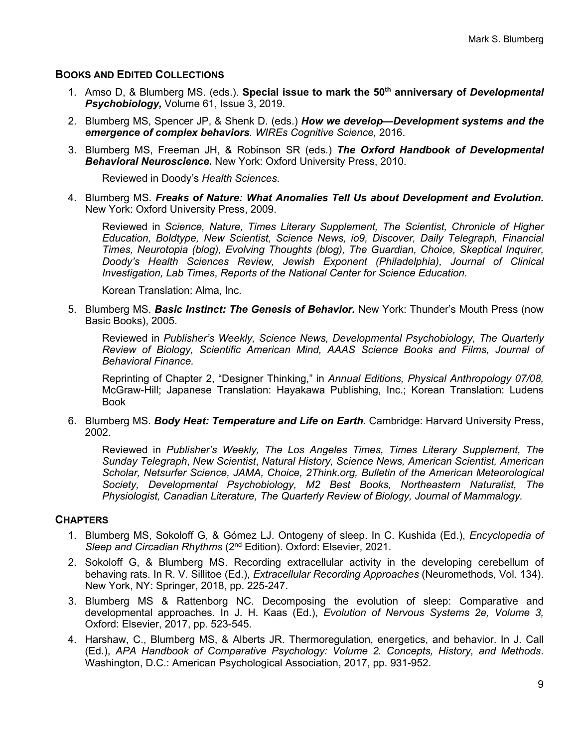#### **BOOKS AND EDITED COLLECTIONS**

- 1. Amso D, & Blumberg MS. (eds.). **Special issue to mark the 50th anniversary of** *Developmental Psychobiology,* Volume 61, Issue 3, 2019.
- 2. Blumberg MS, Spencer JP, & Shenk D. (eds.) *How we develop—Development systems and the emergence of complex behaviors. WIREs Cognitive Science,* 2016.
- 3. Blumberg MS, Freeman JH, & Robinson SR (eds.) *The Oxford Handbook of Developmental Behavioral Neuroscience***.** New York: Oxford University Press, 2010.

Reviewed in Doody's *Health Sciences*.

4. Blumberg MS. *Freaks of Nature: What Anomalies Tell Us about Development and Evolution.* New York: Oxford University Press, 2009.

Reviewed in *Science, Nature, Times Literary Supplement, The Scientist, Chronicle of Higher Education, Boldtype, New Scientist, Science News, io9, Discover, Daily Telegraph, Financial Times, Neurotopia (blog), Evolving Thoughts (blog), The Guardian, Choice, Skeptical Inquirer, Doody's Health Sciences Review, Jewish Exponent (Philadelphia), Journal of Clinical Investigation, Lab Times*, *Reports of the National Center for Science Education.*

Korean Translation: Alma, Inc.

5. Blumberg MS. *Basic Instinct: The Genesis of Behavior.* New York: Thunder's Mouth Press (now Basic Books), 2005.

Reviewed in *Publisher's Weekly, Science News, Developmental Psychobiology, The Quarterly Review of Biology, Scientific American Mind, AAAS Science Books and Films, Journal of Behavioral Finance.*

Reprinting of Chapter 2, "Designer Thinking," in *Annual Editions, Physical Anthropology 07/08,* McGraw-Hill; Japanese Translation: Hayakawa Publishing, Inc.; Korean Translation: Ludens Book

6. Blumberg MS. *Body Heat: Temperature and Life on Earth.* Cambridge: Harvard University Press, 2002.

Reviewed in *Publisher's Weekly, The Los Angeles Times, Times Literary Supplement, The Sunday Telegraph*, *New Scientist*, *Natural History, Science News, American Scientist, American Scholar, Netsurfer Science, JAMA, Choice, 2Think.org, Bulletin of the American Meteorological Society, Developmental Psychobiology, M2 Best Books, Northeastern Naturalist, The Physiologist, Canadian Literature, The Quarterly Review of Biology, Journal of Mammalogy.*

#### **CHAPTERS**

- 1. Blumberg MS, Sokoloff G, & Gómez LJ. Ontogeny of sleep. In C. Kushida (Ed.), *Encyclopedia of Sleep and Circadian Rhythms* (2nd Edition). Oxford: Elsevier, 2021.
- 2. Sokoloff G, & Blumberg MS. Recording extracellular activity in the developing cerebellum of behaving rats. In R. V. Sillitoe (Ed.), *Extracellular Recording Approaches* (Neuromethods, Vol. 134). New York, NY: Springer, 2018, pp. 225-247.
- 3. Blumberg MS & Rattenborg NC. Decomposing the evolution of sleep: Comparative and developmental approaches. In J. H. Kaas (Ed.), *Evolution of Nervous Systems 2e, Volume 3,*  Oxford: Elsevier, 2017, pp. 523-545.
- 4. Harshaw, C., Blumberg MS, & Alberts JR. Thermoregulation, energetics, and behavior. In J. Call (Ed.), *APA Handbook of Comparative Psychology: Volume 2. Concepts, History, and Methods*. Washington, D.C.: American Psychological Association, 2017, pp. 931-952.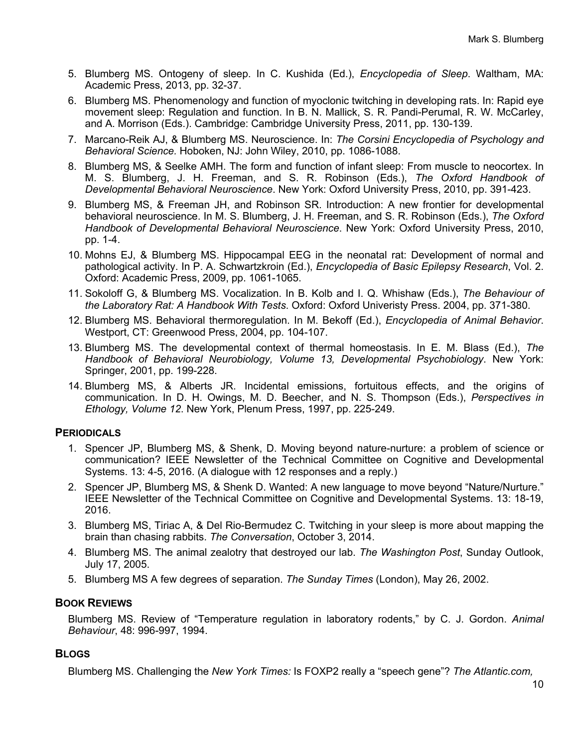- 5. Blumberg MS. Ontogeny of sleep. In C. Kushida (Ed.), *Encyclopedia of Sleep*. Waltham, MA: Academic Press, 2013, pp. 32-37.
- 6. Blumberg MS. Phenomenology and function of myoclonic twitching in developing rats. In: Rapid eye movement sleep: Regulation and function. In B. N. Mallick, S. R. Pandi-Perumal, R. W. McCarley, and A. Morrison (Eds.). Cambridge: Cambridge University Press, 2011, pp. 130-139.
- 7. Marcano-Reik AJ, & Blumberg MS. Neuroscience. In: *The Corsini Encyclopedia of Psychology and Behavioral Science.* Hoboken, NJ: John Wiley, 2010, pp. 1086-1088.
- 8. Blumberg MS, & Seelke AMH. The form and function of infant sleep: From muscle to neocortex. In M. S. Blumberg, J. H. Freeman, and S. R. Robinson (Eds.), *The Oxford Handbook of Developmental Behavioral Neuroscience*. New York: Oxford University Press, 2010, pp. 391-423.
- 9. Blumberg MS, & Freeman JH, and Robinson SR. Introduction: A new frontier for developmental behavioral neuroscience. In M. S. Blumberg, J. H. Freeman, and S. R. Robinson (Eds.), *The Oxford Handbook of Developmental Behavioral Neuroscience*. New York: Oxford University Press, 2010, pp. 1-4.
- 10. Mohns EJ, & Blumberg MS. Hippocampal EEG in the neonatal rat: Development of normal and pathological activity. In P. A. Schwartzkroin (Ed.), *Encyclopedia of Basic Epilepsy Research*, Vol. 2. Oxford: Academic Press, 2009, pp. 1061-1065.
- 11. Sokoloff G, & Blumberg MS. Vocalization. In B. Kolb and I. Q. Whishaw (Eds.), *The Behaviour of the Laboratory Rat: A Handbook With Tests*. Oxford: Oxford Univeristy Press. 2004, pp. 371-380.
- 12. Blumberg MS. Behavioral thermoregulation. In M. Bekoff (Ed.), *Encyclopedia of Animal Behavior*. Westport, CT: Greenwood Press, 2004, pp. 104-107.
- 13. Blumberg MS. The developmental context of thermal homeostasis. In E. M. Blass (Ed.), *The Handbook of Behavioral Neurobiology, Volume 13, Developmental Psychobiology*. New York: Springer, 2001, pp. 199-228.
- 14. Blumberg MS, & Alberts JR. Incidental emissions, fortuitous effects, and the origins of communication. In D. H. Owings, M. D. Beecher, and N. S. Thompson (Eds.), *Perspectives in Ethology, Volume 12*. New York, Plenum Press, 1997, pp. 225-249.

#### **PERIODICALS**

- 1. Spencer JP, Blumberg MS, & Shenk, D. Moving beyond nature-nurture: a problem of science or communication? IEEE Newsletter of the Technical Committee on Cognitive and Developmental Systems. 13: 4-5, 2016. (A dialogue with 12 responses and a reply.)
- 2. Spencer JP, Blumberg MS, & Shenk D. Wanted: A new language to move beyond "Nature/Nurture." IEEE Newsletter of the Technical Committee on Cognitive and Developmental Systems. 13: 18-19, 2016.
- 3. Blumberg MS, Tiriac A, & Del Rio-Bermudez C. Twitching in your sleep is more about mapping the brain than chasing rabbits. *The Conversation*, October 3, 2014.
- 4. Blumberg MS. The animal zealotry that destroyed our lab. *The Washington Post*, Sunday Outlook, July 17, 2005.
- 5. Blumberg MS A few degrees of separation. *The Sunday Times* (London), May 26, 2002.

# **BOOK REVIEWS**

Blumberg MS. Review of "Temperature regulation in laboratory rodents," by C. J. Gordon. *Animal Behaviour*, 48: 996-997, 1994.

#### **BLOGS**

Blumberg MS. Challenging the *New York Times:* Is FOXP2 really a "speech gene"? *The Atlantic.com,*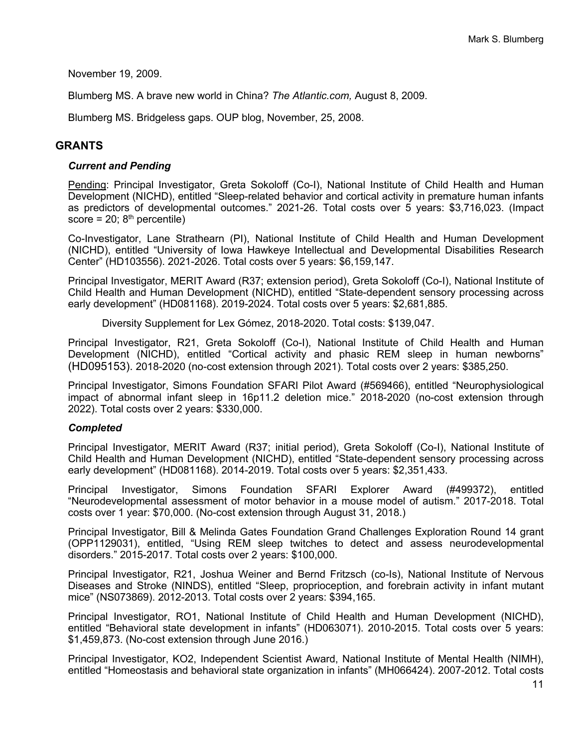November 19, 2009.

Blumberg MS. A brave new world in China? *The Atlantic.com,* August 8, 2009.

Blumberg MS. Bridgeless gaps. OUP blog, November, 25, 2008.

## **GRANTS**

#### *Current and Pending*

Pending: Principal Investigator, Greta Sokoloff (Co-I), National Institute of Child Health and Human Development (NICHD), entitled "Sleep-related behavior and cortical activity in premature human infants as predictors of developmental outcomes." 2021-26. Total costs over 5 years: \$3,716,023. (Impact score =  $20; 8<sup>th</sup>$  percentile)

Co-Investigator, Lane Strathearn (PI), National Institute of Child Health and Human Development (NICHD), entitled "University of Iowa Hawkeye Intellectual and Developmental Disabilities Research Center" (HD103556). 2021-2026. Total costs over 5 years: \$6,159,147.

Principal Investigator, MERIT Award (R37; extension period), Greta Sokoloff (Co-I), National Institute of Child Health and Human Development (NICHD), entitled "State-dependent sensory processing across early development" (HD081168). 2019-2024. Total costs over 5 years: \$2,681,885.

Diversity Supplement for Lex Gómez, 2018-2020. Total costs: \$139,047.

Principal Investigator, R21, Greta Sokoloff (Co-I), National Institute of Child Health and Human Development (NICHD), entitled "Cortical activity and phasic REM sleep in human newborns" (HD095153). 2018-2020 (no-cost extension through 2021). Total costs over 2 years: \$385,250.

Principal Investigator, Simons Foundation SFARI Pilot Award (#569466), entitled "Neurophysiological impact of abnormal infant sleep in 16p11.2 deletion mice." 2018-2020 (no-cost extension through 2022). Total costs over 2 years: \$330,000.

#### *Completed*

Principal Investigator, MERIT Award (R37; initial period), Greta Sokoloff (Co-I), National Institute of Child Health and Human Development (NICHD), entitled "State-dependent sensory processing across early development" (HD081168). 2014-2019. Total costs over 5 years: \$2,351,433.

Principal Investigator, Simons Foundation SFARI Explorer Award (#499372), entitled "Neurodevelopmental assessment of motor behavior in a mouse model of autism." 2017-2018. Total costs over 1 year: \$70,000. (No-cost extension through August 31, 2018.)

Principal Investigator, Bill & Melinda Gates Foundation Grand Challenges Exploration Round 14 grant (OPP1129031), entitled, "Using REM sleep twitches to detect and assess neurodevelopmental disorders." 2015-2017. Total costs over 2 years: \$100,000.

Principal Investigator, R21, Joshua Weiner and Bernd Fritzsch (co-Is), National Institute of Nervous Diseases and Stroke (NINDS), entitled "Sleep, proprioception, and forebrain activity in infant mutant mice" (NS073869). 2012-2013. Total costs over 2 years: \$394,165.

Principal Investigator, RO1, National Institute of Child Health and Human Development (NICHD), entitled "Behavioral state development in infants" (HD063071). 2010-2015. Total costs over 5 years: \$1,459,873. (No-cost extension through June 2016.)

Principal Investigator, KO2, Independent Scientist Award, National Institute of Mental Health (NIMH), entitled "Homeostasis and behavioral state organization in infants" (MH066424). 2007-2012. Total costs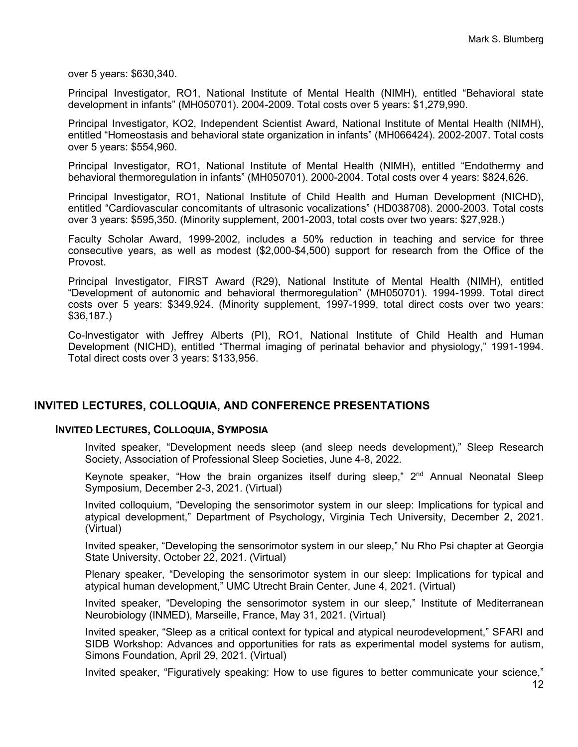over 5 years: \$630,340.

Principal Investigator, RO1, National Institute of Mental Health (NIMH), entitled "Behavioral state development in infants" (MH050701). 2004-2009. Total costs over 5 years: \$1,279,990.

Principal Investigator, KO2, Independent Scientist Award, National Institute of Mental Health (NIMH), entitled "Homeostasis and behavioral state organization in infants" (MH066424). 2002-2007. Total costs over 5 years: \$554,960.

Principal Investigator, RO1, National Institute of Mental Health (NIMH), entitled "Endothermy and behavioral thermoregulation in infants" (MH050701). 2000-2004. Total costs over 4 years: \$824,626.

Principal Investigator, RO1, National Institute of Child Health and Human Development (NICHD), entitled "Cardiovascular concomitants of ultrasonic vocalizations" (HD038708). 2000-2003. Total costs over 3 years: \$595,350. (Minority supplement, 2001-2003, total costs over two years: \$27,928.)

Faculty Scholar Award, 1999-2002, includes a 50% reduction in teaching and service for three consecutive years, as well as modest (\$2,000-\$4,500) support for research from the Office of the Provost.

Principal Investigator, FIRST Award (R29), National Institute of Mental Health (NIMH), entitled "Development of autonomic and behavioral thermoregulation" (MH050701). 1994-1999. Total direct costs over 5 years: \$349,924. (Minority supplement, 1997-1999, total direct costs over two years: \$36,187.)

Co-Investigator with Jeffrey Alberts (PI), RO1, National Institute of Child Health and Human Development (NICHD), entitled "Thermal imaging of perinatal behavior and physiology," 1991-1994. Total direct costs over 3 years: \$133,956.

#### **INVITED LECTURES, COLLOQUIA, AND CONFERENCE PRESENTATIONS**

#### **INVITED LECTURES, COLLOQUIA, SYMPOSIA**

Invited speaker, "Development needs sleep (and sleep needs development)," Sleep Research Society, Association of Professional Sleep Societies, June 4-8, 2022.

Keynote speaker, "How the brain organizes itself during sleep," 2<sup>nd</sup> Annual Neonatal Sleep Symposium, December 2-3, 2021. (Virtual)

Invited colloquium, "Developing the sensorimotor system in our sleep: Implications for typical and atypical development," Department of Psychology, Virginia Tech University, December 2, 2021. (Virtual)

Invited speaker, "Developing the sensorimotor system in our sleep," Nu Rho Psi chapter at Georgia State University, October 22, 2021. (Virtual)

Plenary speaker, "Developing the sensorimotor system in our sleep: Implications for typical and atypical human development," UMC Utrecht Brain Center, June 4, 2021. (Virtual)

Invited speaker, "Developing the sensorimotor system in our sleep," Institute of Mediterranean Neurobiology (INMED), Marseille, France, May 31, 2021. (Virtual)

Invited speaker, "Sleep as a critical context for typical and atypical neurodevelopment," SFARI and SIDB Workshop: Advances and opportunities for rats as experimental model systems for autism, Simons Foundation, April 29, 2021. (Virtual)

Invited speaker, "Figuratively speaking: How to use figures to better communicate your science,"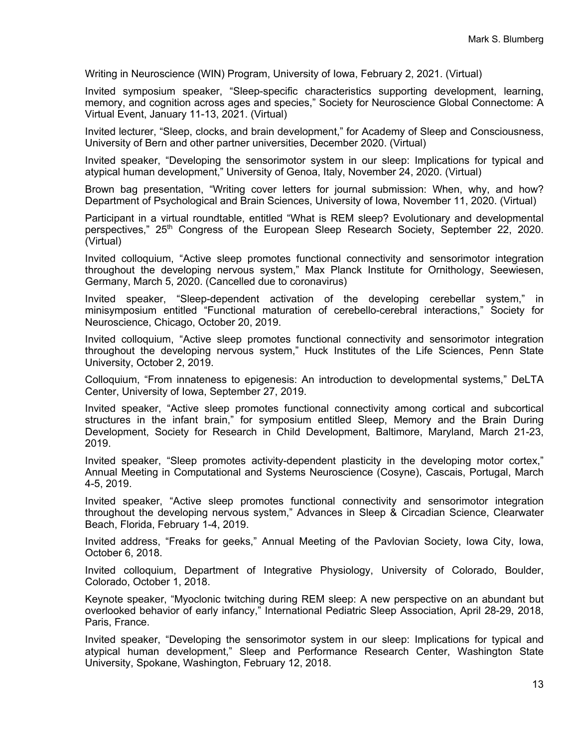Writing in Neuroscience (WIN) Program, University of Iowa, February 2, 2021. (Virtual)

Invited symposium speaker, "Sleep-specific characteristics supporting development, learning, memory, and cognition across ages and species," Society for Neuroscience Global Connectome: A Virtual Event, January 11-13, 2021. (Virtual)

Invited lecturer, "Sleep, clocks, and brain development," for Academy of Sleep and Consciousness, University of Bern and other partner universities, December 2020. (Virtual)

Invited speaker, "Developing the sensorimotor system in our sleep: Implications for typical and atypical human development," University of Genoa, Italy, November 24, 2020. (Virtual)

Brown bag presentation, "Writing cover letters for journal submission: When, why, and how? Department of Psychological and Brain Sciences, University of Iowa, November 11, 2020. (Virtual)

Participant in a virtual roundtable, entitled "What is REM sleep? Evolutionary and developmental perspectives," 25<sup>th</sup> Congress of the European Sleep Research Society, September 22, 2020. (Virtual)

Invited colloquium, "Active sleep promotes functional connectivity and sensorimotor integration throughout the developing nervous system," Max Planck Institute for Ornithology, Seewiesen, Germany, March 5, 2020. (Cancelled due to coronavirus)

Invited speaker, "Sleep-dependent activation of the developing cerebellar system," in minisymposium entitled "Functional maturation of cerebello-cerebral interactions," Society for Neuroscience, Chicago, October 20, 2019.

Invited colloquium, "Active sleep promotes functional connectivity and sensorimotor integration throughout the developing nervous system," Huck Institutes of the Life Sciences, Penn State University, October 2, 2019.

Colloquium, "From innateness to epigenesis: An introduction to developmental systems," DeLTA Center, University of Iowa, September 27, 2019.

Invited speaker, "Active sleep promotes functional connectivity among cortical and subcortical structures in the infant brain," for symposium entitled Sleep, Memory and the Brain During Development, Society for Research in Child Development, Baltimore, Maryland, March 21-23, 2019.

Invited speaker, "Sleep promotes activity-dependent plasticity in the developing motor cortex," Annual Meeting in Computational and Systems Neuroscience (Cosyne), Cascais, Portugal, March 4-5, 2019.

Invited speaker, "Active sleep promotes functional connectivity and sensorimotor integration throughout the developing nervous system," Advances in Sleep & Circadian Science, Clearwater Beach, Florida, February 1-4, 2019.

Invited address, "Freaks for geeks," Annual Meeting of the Pavlovian Society, Iowa City, Iowa, October 6, 2018.

Invited colloquium, Department of Integrative Physiology, University of Colorado, Boulder, Colorado, October 1, 2018.

Keynote speaker, "Myoclonic twitching during REM sleep: A new perspective on an abundant but overlooked behavior of early infancy," International Pediatric Sleep Association, April 28-29, 2018, Paris, France.

Invited speaker, "Developing the sensorimotor system in our sleep: Implications for typical and atypical human development," Sleep and Performance Research Center, Washington State University, Spokane, Washington, February 12, 2018.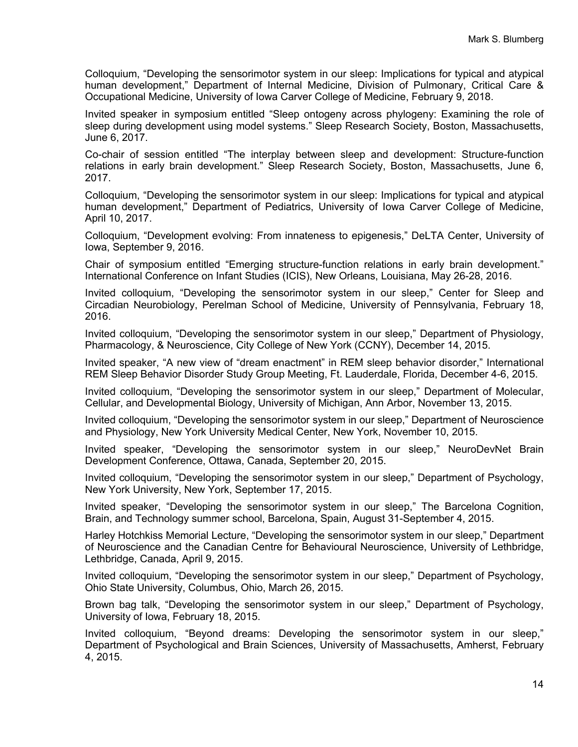Colloquium, "Developing the sensorimotor system in our sleep: Implications for typical and atypical human development," Department of Internal Medicine, Division of Pulmonary, Critical Care & Occupational Medicine, University of Iowa Carver College of Medicine, February 9, 2018.

Invited speaker in symposium entitled "Sleep ontogeny across phylogeny: Examining the role of sleep during development using model systems." Sleep Research Society, Boston, Massachusetts, June 6, 2017.

Co-chair of session entitled "The interplay between sleep and development: Structure-function relations in early brain development." Sleep Research Society, Boston, Massachusetts, June 6, 2017.

Colloquium, "Developing the sensorimotor system in our sleep: Implications for typical and atypical human development," Department of Pediatrics, University of Iowa Carver College of Medicine, April 10, 2017.

Colloquium, "Development evolving: From innateness to epigenesis," DeLTA Center, University of Iowa, September 9, 2016.

Chair of symposium entitled "Emerging structure-function relations in early brain development." International Conference on Infant Studies (ICIS), New Orleans, Louisiana, May 26-28, 2016.

Invited colloquium, "Developing the sensorimotor system in our sleep," Center for Sleep and Circadian Neurobiology, Perelman School of Medicine, University of Pennsylvania, February 18, 2016.

Invited colloquium, "Developing the sensorimotor system in our sleep," Department of Physiology, Pharmacology, & Neuroscience, City College of New York (CCNY), December 14, 2015.

Invited speaker, "A new view of "dream enactment" in REM sleep behavior disorder," International REM Sleep Behavior Disorder Study Group Meeting, Ft. Lauderdale, Florida, December 4-6, 2015.

Invited colloquium, "Developing the sensorimotor system in our sleep," Department of Molecular, Cellular, and Developmental Biology, University of Michigan, Ann Arbor, November 13, 2015.

Invited colloquium, "Developing the sensorimotor system in our sleep," Department of Neuroscience and Physiology, New York University Medical Center, New York, November 10, 2015.

Invited speaker, "Developing the sensorimotor system in our sleep," NeuroDevNet Brain Development Conference, Ottawa, Canada, September 20, 2015.

Invited colloquium, "Developing the sensorimotor system in our sleep," Department of Psychology, New York University, New York, September 17, 2015.

Invited speaker, "Developing the sensorimotor system in our sleep," The Barcelona Cognition, Brain, and Technology summer school, Barcelona, Spain, August 31-September 4, 2015.

Harley Hotchkiss Memorial Lecture, "Developing the sensorimotor system in our sleep," Department of Neuroscience and the Canadian Centre for Behavioural Neuroscience, University of Lethbridge, Lethbridge, Canada, April 9, 2015.

Invited colloquium, "Developing the sensorimotor system in our sleep," Department of Psychology, Ohio State University, Columbus, Ohio, March 26, 2015.

Brown bag talk, "Developing the sensorimotor system in our sleep," Department of Psychology, University of Iowa, February 18, 2015.

Invited colloquium, "Beyond dreams: Developing the sensorimotor system in our sleep," Department of Psychological and Brain Sciences, University of Massachusetts, Amherst, February 4, 2015.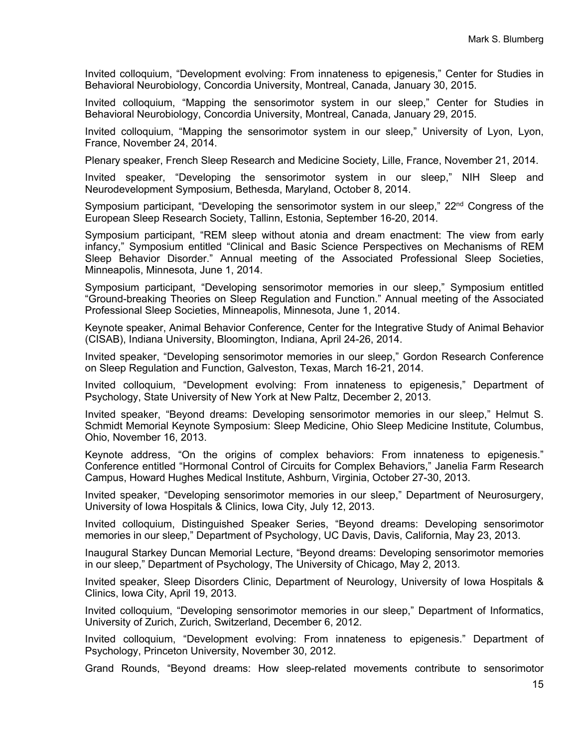Invited colloquium, "Development evolving: From innateness to epigenesis," Center for Studies in Behavioral Neurobiology, Concordia University, Montreal, Canada, January 30, 2015.

Invited colloquium, "Mapping the sensorimotor system in our sleep," Center for Studies in Behavioral Neurobiology, Concordia University, Montreal, Canada, January 29, 2015.

Invited colloquium, "Mapping the sensorimotor system in our sleep," University of Lyon, Lyon, France, November 24, 2014.

Plenary speaker, French Sleep Research and Medicine Society, Lille, France, November 21, 2014.

Invited speaker, "Developing the sensorimotor system in our sleep," NIH Sleep and Neurodevelopment Symposium, Bethesda, Maryland, October 8, 2014.

Symposium participant, "Developing the sensorimotor system in our sleep,"  $22<sup>nd</sup>$  Congress of the European Sleep Research Society, Tallinn, Estonia, September 16-20, 2014.

Symposium participant, "REM sleep without atonia and dream enactment: The view from early infancy," Symposium entitled "Clinical and Basic Science Perspectives on Mechanisms of REM Sleep Behavior Disorder." Annual meeting of the Associated Professional Sleep Societies, Minneapolis, Minnesota, June 1, 2014.

Symposium participant, "Developing sensorimotor memories in our sleep," Symposium entitled "Ground-breaking Theories on Sleep Regulation and Function." Annual meeting of the Associated Professional Sleep Societies, Minneapolis, Minnesota, June 1, 2014.

Keynote speaker, Animal Behavior Conference, Center for the Integrative Study of Animal Behavior (CISAB), Indiana University, Bloomington, Indiana, April 24-26, 2014.

Invited speaker, "Developing sensorimotor memories in our sleep," Gordon Research Conference on Sleep Regulation and Function, Galveston, Texas, March 16-21, 2014.

Invited colloquium, "Development evolving: From innateness to epigenesis," Department of Psychology, State University of New York at New Paltz, December 2, 2013.

Invited speaker, "Beyond dreams: Developing sensorimotor memories in our sleep," Helmut S. Schmidt Memorial Keynote Symposium: Sleep Medicine, Ohio Sleep Medicine Institute, Columbus, Ohio, November 16, 2013.

Keynote address, "On the origins of complex behaviors: From innateness to epigenesis." Conference entitled "Hormonal Control of Circuits for Complex Behaviors," Janelia Farm Research Campus, Howard Hughes Medical Institute, Ashburn, Virginia, October 27-30, 2013.

Invited speaker, "Developing sensorimotor memories in our sleep," Department of Neurosurgery, University of Iowa Hospitals & Clinics, Iowa City, July 12, 2013.

Invited colloquium, Distinguished Speaker Series, "Beyond dreams: Developing sensorimotor memories in our sleep," Department of Psychology, UC Davis, Davis, California, May 23, 2013.

Inaugural Starkey Duncan Memorial Lecture, "Beyond dreams: Developing sensorimotor memories in our sleep," Department of Psychology, The University of Chicago, May 2, 2013.

Invited speaker, Sleep Disorders Clinic, Department of Neurology, University of Iowa Hospitals & Clinics, Iowa City, April 19, 2013.

Invited colloquium, "Developing sensorimotor memories in our sleep," Department of Informatics, University of Zurich, Zurich, Switzerland, December 6, 2012.

Invited colloquium, "Development evolving: From innateness to epigenesis." Department of Psychology, Princeton University, November 30, 2012.

Grand Rounds, "Beyond dreams: How sleep-related movements contribute to sensorimotor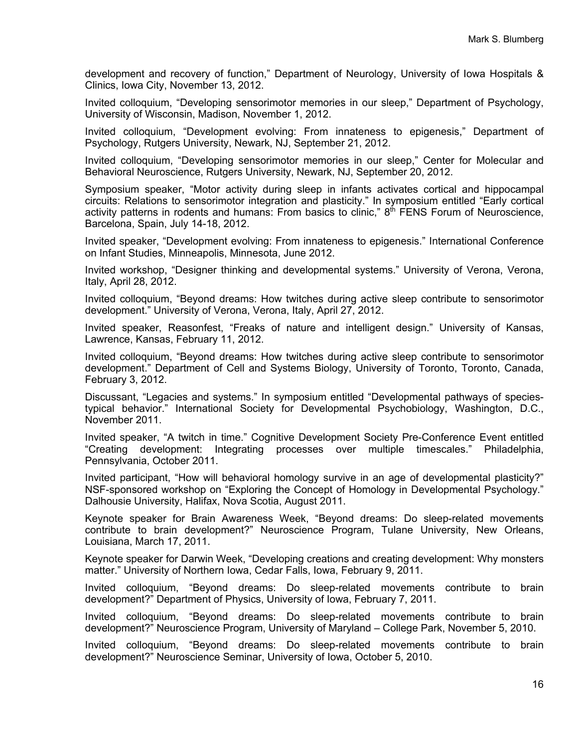development and recovery of function," Department of Neurology, University of Iowa Hospitals & Clinics, Iowa City, November 13, 2012.

Invited colloquium, "Developing sensorimotor memories in our sleep," Department of Psychology, University of Wisconsin, Madison, November 1, 2012.

Invited colloquium, "Development evolving: From innateness to epigenesis," Department of Psychology, Rutgers University, Newark, NJ, September 21, 2012.

Invited colloquium, "Developing sensorimotor memories in our sleep," Center for Molecular and Behavioral Neuroscience, Rutgers University, Newark, NJ, September 20, 2012.

Symposium speaker, "Motor activity during sleep in infants activates cortical and hippocampal circuits: Relations to sensorimotor integration and plasticity." In symposium entitled "Early cortical activity patterns in rodents and humans: From basics to clinic,"  $8<sup>th</sup>$  FENS Forum of Neuroscience, Barcelona, Spain, July 14-18, 2012.

Invited speaker, "Development evolving: From innateness to epigenesis." International Conference on Infant Studies, Minneapolis, Minnesota, June 2012.

Invited workshop, "Designer thinking and developmental systems." University of Verona, Verona, Italy, April 28, 2012.

Invited colloquium, "Beyond dreams: How twitches during active sleep contribute to sensorimotor development." University of Verona, Verona, Italy, April 27, 2012.

Invited speaker, Reasonfest, "Freaks of nature and intelligent design." University of Kansas, Lawrence, Kansas, February 11, 2012.

Invited colloquium, "Beyond dreams: How twitches during active sleep contribute to sensorimotor development." Department of Cell and Systems Biology, University of Toronto, Toronto, Canada, February 3, 2012.

Discussant, "Legacies and systems." In symposium entitled "Developmental pathways of speciestypical behavior." International Society for Developmental Psychobiology, Washington, D.C., November 2011.

Invited speaker, "A twitch in time." Cognitive Development Society Pre-Conference Event entitled "Creating development: Integrating processes over multiple timescales." Philadelphia, Pennsylvania, October 2011.

Invited participant, "How will behavioral homology survive in an age of developmental plasticity?" NSF-sponsored workshop on "Exploring the Concept of Homology in Developmental Psychology." Dalhousie University, Halifax, Nova Scotia, August 2011.

Keynote speaker for Brain Awareness Week, "Beyond dreams: Do sleep-related movements contribute to brain development?" Neuroscience Program, Tulane University, New Orleans, Louisiana, March 17, 2011.

Keynote speaker for Darwin Week, "Developing creations and creating development: Why monsters matter." University of Northern Iowa, Cedar Falls, Iowa, February 9, 2011.

Invited colloquium, "Beyond dreams: Do sleep-related movements contribute to brain development?" Department of Physics, University of Iowa, February 7, 2011.

Invited colloquium, "Beyond dreams: Do sleep-related movements contribute to brain development?" Neuroscience Program, University of Maryland – College Park, November 5, 2010.

Invited colloquium, "Beyond dreams: Do sleep-related movements contribute to brain development?" Neuroscience Seminar, University of Iowa, October 5, 2010.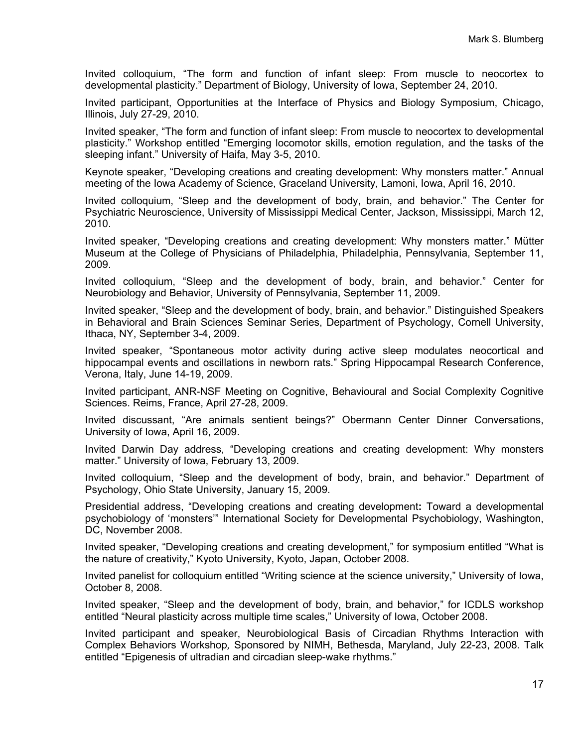Invited colloquium, "The form and function of infant sleep: From muscle to neocortex to developmental plasticity." Department of Biology, University of Iowa, September 24, 2010.

Invited participant, Opportunities at the Interface of Physics and Biology Symposium, Chicago, Illinois, July 27-29, 2010.

Invited speaker, "The form and function of infant sleep: From muscle to neocortex to developmental plasticity." Workshop entitled "Emerging locomotor skills, emotion regulation, and the tasks of the sleeping infant." University of Haifa, May 3-5, 2010.

Keynote speaker, "Developing creations and creating development: Why monsters matter." Annual meeting of the Iowa Academy of Science, Graceland University, Lamoni, Iowa, April 16, 2010.

Invited colloquium, "Sleep and the development of body, brain, and behavior." The Center for Psychiatric Neuroscience, University of Mississippi Medical Center, Jackson, Mississippi, March 12, 2010.

Invited speaker, "Developing creations and creating development: Why monsters matter." Mütter Museum at the College of Physicians of Philadelphia, Philadelphia, Pennsylvania, September 11, 2009.

Invited colloquium, "Sleep and the development of body, brain, and behavior." Center for Neurobiology and Behavior, University of Pennsylvania, September 11, 2009.

Invited speaker, "Sleep and the development of body, brain, and behavior." Distinguished Speakers in Behavioral and Brain Sciences Seminar Series, Department of Psychology, Cornell University, Ithaca, NY, September 3-4, 2009.

Invited speaker, "Spontaneous motor activity during active sleep modulates neocortical and hippocampal events and oscillations in newborn rats." Spring Hippocampal Research Conference, Verona, Italy, June 14-19, 2009.

Invited participant, ANR-NSF Meeting on Cognitive, Behavioural and Social Complexity Cognitive Sciences. Reims, France, April 27-28, 2009.

Invited discussant, "Are animals sentient beings?" Obermann Center Dinner Conversations, University of Iowa, April 16, 2009.

Invited Darwin Day address, "Developing creations and creating development: Why monsters matter." University of Iowa, February 13, 2009.

Invited colloquium, "Sleep and the development of body, brain, and behavior." Department of Psychology, Ohio State University, January 15, 2009.

Presidential address, "Developing creations and creating development**:** Toward a developmental psychobiology of 'monsters'" International Society for Developmental Psychobiology, Washington, DC, November 2008.

Invited speaker, "Developing creations and creating development," for symposium entitled "What is the nature of creativity," Kyoto University, Kyoto, Japan, October 2008.

Invited panelist for colloquium entitled "Writing science at the science university," University of Iowa, October 8, 2008.

Invited speaker, "Sleep and the development of body, brain, and behavior," for ICDLS workshop entitled "Neural plasticity across multiple time scales," University of Iowa, October 2008.

Invited participant and speaker, Neurobiological Basis of Circadian Rhythms Interaction with Complex Behaviors Workshop*,* Sponsored by NIMH, Bethesda, Maryland, July 22-23, 2008. Talk entitled "Epigenesis of ultradian and circadian sleep-wake rhythms."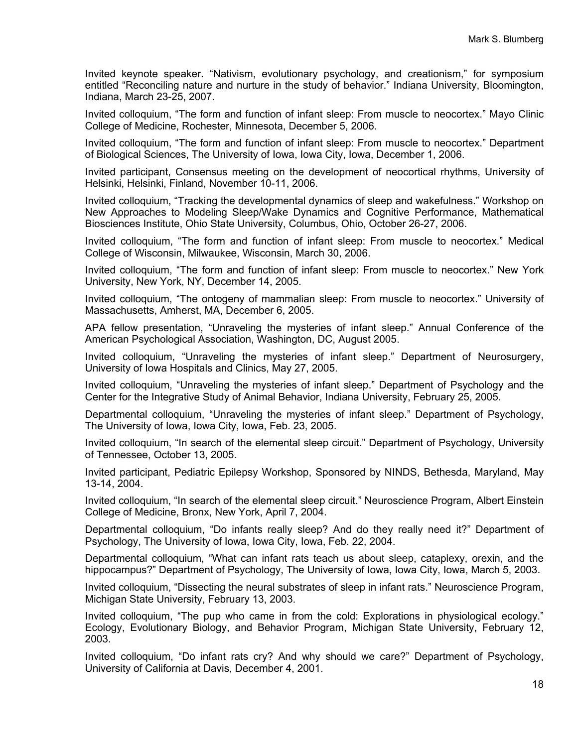Invited keynote speaker. "Nativism, evolutionary psychology, and creationism," for symposium entitled "Reconciling nature and nurture in the study of behavior." Indiana University, Bloomington, Indiana, March 23-25, 2007.

Invited colloquium, "The form and function of infant sleep: From muscle to neocortex." Mayo Clinic College of Medicine, Rochester, Minnesota, December 5, 2006.

Invited colloquium, "The form and function of infant sleep: From muscle to neocortex." Department of Biological Sciences, The University of Iowa, Iowa City, Iowa, December 1, 2006.

Invited participant, Consensus meeting on the development of neocortical rhythms, University of Helsinki, Helsinki, Finland, November 10-11, 2006.

Invited colloquium, "Tracking the developmental dynamics of sleep and wakefulness." Workshop on New Approaches to Modeling Sleep/Wake Dynamics and Cognitive Performance, Mathematical Biosciences Institute, Ohio State University, Columbus, Ohio, October 26-27, 2006.

Invited colloquium, "The form and function of infant sleep: From muscle to neocortex." Medical College of Wisconsin, Milwaukee, Wisconsin, March 30, 2006.

Invited colloquium, "The form and function of infant sleep: From muscle to neocortex." New York University, New York, NY, December 14, 2005.

Invited colloquium, "The ontogeny of mammalian sleep: From muscle to neocortex." University of Massachusetts, Amherst, MA, December 6, 2005.

APA fellow presentation, "Unraveling the mysteries of infant sleep." Annual Conference of the American Psychological Association, Washington, DC, August 2005.

Invited colloquium, "Unraveling the mysteries of infant sleep." Department of Neurosurgery, University of Iowa Hospitals and Clinics, May 27, 2005.

Invited colloquium, "Unraveling the mysteries of infant sleep." Department of Psychology and the Center for the Integrative Study of Animal Behavior, Indiana University, February 25, 2005.

Departmental colloquium, "Unraveling the mysteries of infant sleep." Department of Psychology, The University of Iowa, Iowa City, Iowa, Feb. 23, 2005.

Invited colloquium, "In search of the elemental sleep circuit." Department of Psychology, University of Tennessee, October 13, 2005.

Invited participant, Pediatric Epilepsy Workshop, Sponsored by NINDS, Bethesda, Maryland, May 13-14, 2004.

Invited colloquium, "In search of the elemental sleep circuit." Neuroscience Program, Albert Einstein College of Medicine, Bronx, New York, April 7, 2004.

Departmental colloquium, "Do infants really sleep? And do they really need it?" Department of Psychology, The University of Iowa, Iowa City, Iowa, Feb. 22, 2004.

Departmental colloquium, "What can infant rats teach us about sleep, cataplexy, orexin, and the hippocampus?" Department of Psychology, The University of Iowa, Iowa City, Iowa, March 5, 2003.

Invited colloquium, "Dissecting the neural substrates of sleep in infant rats." Neuroscience Program, Michigan State University, February 13, 2003.

Invited colloquium, "The pup who came in from the cold: Explorations in physiological ecology." Ecology, Evolutionary Biology, and Behavior Program, Michigan State University, February 12, 2003.

Invited colloquium, "Do infant rats cry? And why should we care?" Department of Psychology, University of California at Davis, December 4, 2001.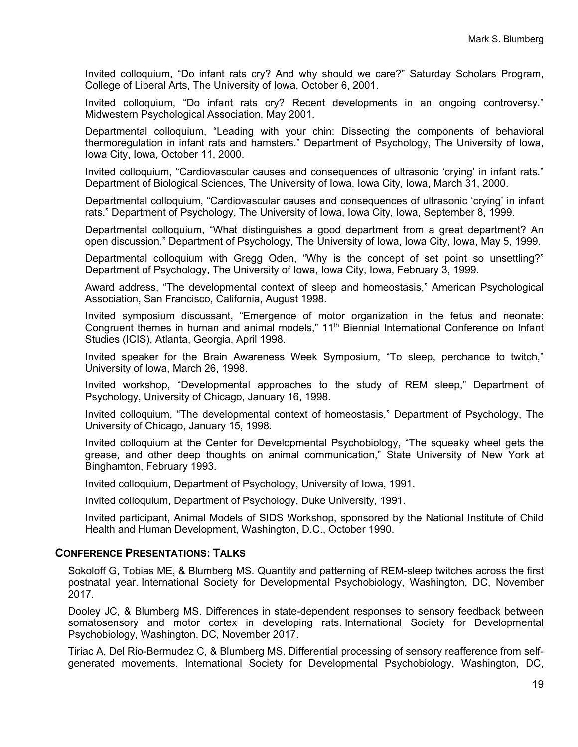Invited colloquium, "Do infant rats cry? And why should we care?" Saturday Scholars Program, College of Liberal Arts, The University of Iowa, October 6, 2001.

Invited colloquium, "Do infant rats cry? Recent developments in an ongoing controversy." Midwestern Psychological Association, May 2001.

Departmental colloquium, "Leading with your chin: Dissecting the components of behavioral thermoregulation in infant rats and hamsters." Department of Psychology, The University of Iowa, Iowa City, Iowa, October 11, 2000.

Invited colloquium, "Cardiovascular causes and consequences of ultrasonic 'crying' in infant rats." Department of Biological Sciences, The University of Iowa, Iowa City, Iowa, March 31, 2000.

Departmental colloquium, "Cardiovascular causes and consequences of ultrasonic 'crying' in infant rats." Department of Psychology, The University of Iowa, Iowa City, Iowa, September 8, 1999.

Departmental colloquium, "What distinguishes a good department from a great department? An open discussion." Department of Psychology, The University of Iowa, Iowa City, Iowa, May 5, 1999.

Departmental colloquium with Gregg Oden, "Why is the concept of set point so unsettling?" Department of Psychology, The University of Iowa, Iowa City, Iowa, February 3, 1999.

Award address, "The developmental context of sleep and homeostasis," American Psychological Association, San Francisco, California, August 1998.

Invited symposium discussant, "Emergence of motor organization in the fetus and neonate: Congruent themes in human and animal models," 11<sup>th</sup> Biennial International Conference on Infant Studies (ICIS), Atlanta, Georgia, April 1998.

Invited speaker for the Brain Awareness Week Symposium, "To sleep, perchance to twitch," University of Iowa, March 26, 1998.

Invited workshop, "Developmental approaches to the study of REM sleep," Department of Psychology, University of Chicago, January 16, 1998.

Invited colloquium, "The developmental context of homeostasis," Department of Psychology, The University of Chicago, January 15, 1998.

Invited colloquium at the Center for Developmental Psychobiology, "The squeaky wheel gets the grease, and other deep thoughts on animal communication," State University of New York at Binghamton, February 1993.

Invited colloquium, Department of Psychology, University of Iowa, 1991.

Invited colloquium, Department of Psychology, Duke University, 1991.

Invited participant, Animal Models of SIDS Workshop, sponsored by the National Institute of Child Health and Human Development, Washington, D.C., October 1990.

#### **CONFERENCE PRESENTATIONS: TALKS**

Sokoloff G, Tobias ME, & Blumberg MS. Quantity and patterning of REM-sleep twitches across the first postnatal year. International Society for Developmental Psychobiology, Washington, DC, November 2017.

Dooley JC, & Blumberg MS. Differences in state-dependent responses to sensory feedback between somatosensory and motor cortex in developing rats International Society for Developmental Psychobiology, Washington, DC, November 2017.

Tiriac A, Del Rio-Bermudez C, & Blumberg MS. Differential processing of sensory reafference from selfgenerated movements. International Society for Developmental Psychobiology, Washington, DC,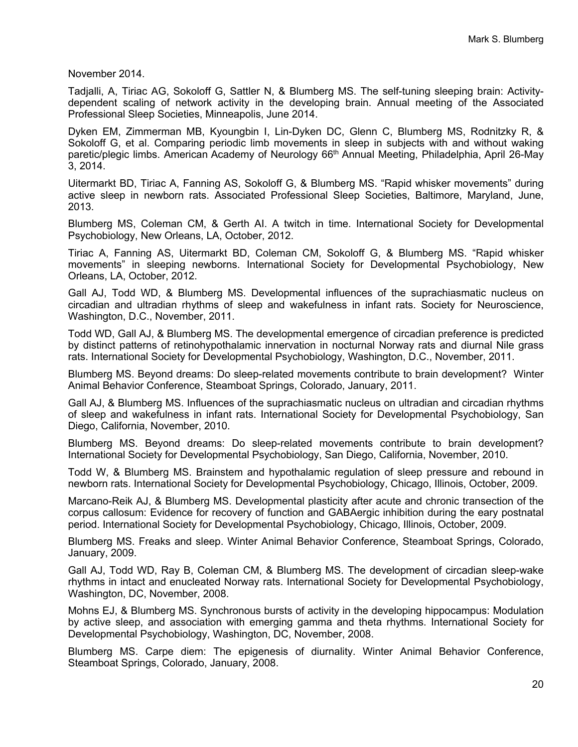November 2014.

Tadjalli, A, Tiriac AG, Sokoloff G, Sattler N, & Blumberg MS. The self-tuning sleeping brain: Activitydependent scaling of network activity in the developing brain. Annual meeting of the Associated Professional Sleep Societies, Minneapolis, June 2014.

Dyken EM, Zimmerman MB, Kyoungbin I, Lin-Dyken DC, Glenn C, Blumberg MS, Rodnitzky R, & Sokoloff G, et al. Comparing periodic limb movements in sleep in subjects with and without waking paretic/plegic limbs. American Academy of Neurology 66<sup>th</sup> Annual Meeting, Philadelphia, April 26-May 3, 2014.

Uitermarkt BD, Tiriac A, Fanning AS, Sokoloff G, & Blumberg MS. "Rapid whisker movements" during active sleep in newborn rats. Associated Professional Sleep Societies, Baltimore, Maryland, June, 2013.

Blumberg MS, Coleman CM, & Gerth AI. A twitch in time. International Society for Developmental Psychobiology, New Orleans, LA, October, 2012.

Tiriac A, Fanning AS, Uitermarkt BD, Coleman CM, Sokoloff G, & Blumberg MS. "Rapid whisker movements" in sleeping newborns. International Society for Developmental Psychobiology, New Orleans, LA, October, 2012.

Gall AJ, Todd WD, & Blumberg MS. Developmental influences of the suprachiasmatic nucleus on circadian and ultradian rhythms of sleep and wakefulness in infant rats. Society for Neuroscience, Washington, D.C., November, 2011.

Todd WD, Gall AJ, & Blumberg MS. The developmental emergence of circadian preference is predicted by distinct patterns of retinohypothalamic innervation in nocturnal Norway rats and diurnal Nile grass rats. International Society for Developmental Psychobiology, Washington, D.C., November, 2011.

Blumberg MS. Beyond dreams: Do sleep-related movements contribute to brain development? Winter Animal Behavior Conference, Steamboat Springs, Colorado, January, 2011.

Gall AJ, & Blumberg MS. Influences of the suprachiasmatic nucleus on ultradian and circadian rhythms of sleep and wakefulness in infant rats. International Society for Developmental Psychobiology, San Diego, California, November, 2010.

Blumberg MS. Beyond dreams: Do sleep-related movements contribute to brain development? International Society for Developmental Psychobiology, San Diego, California, November, 2010.

Todd W, & Blumberg MS. Brainstem and hypothalamic regulation of sleep pressure and rebound in newborn rats. International Society for Developmental Psychobiology, Chicago, Illinois, October, 2009.

Marcano-Reik AJ, & Blumberg MS. Developmental plasticity after acute and chronic transection of the corpus callosum: Evidence for recovery of function and GABAergic inhibition during the eary postnatal period. International Society for Developmental Psychobiology, Chicago, Illinois, October, 2009.

Blumberg MS. Freaks and sleep. Winter Animal Behavior Conference, Steamboat Springs, Colorado, January, 2009.

Gall AJ, Todd WD, Ray B, Coleman CM, & Blumberg MS. The development of circadian sleep-wake rhythms in intact and enucleated Norway rats. International Society for Developmental Psychobiology, Washington, DC, November, 2008.

Mohns EJ, & Blumberg MS. Synchronous bursts of activity in the developing hippocampus: Modulation by active sleep, and association with emerging gamma and theta rhythms. International Society for Developmental Psychobiology, Washington, DC, November, 2008.

Blumberg MS. Carpe diem: The epigenesis of diurnality. Winter Animal Behavior Conference, Steamboat Springs, Colorado, January, 2008.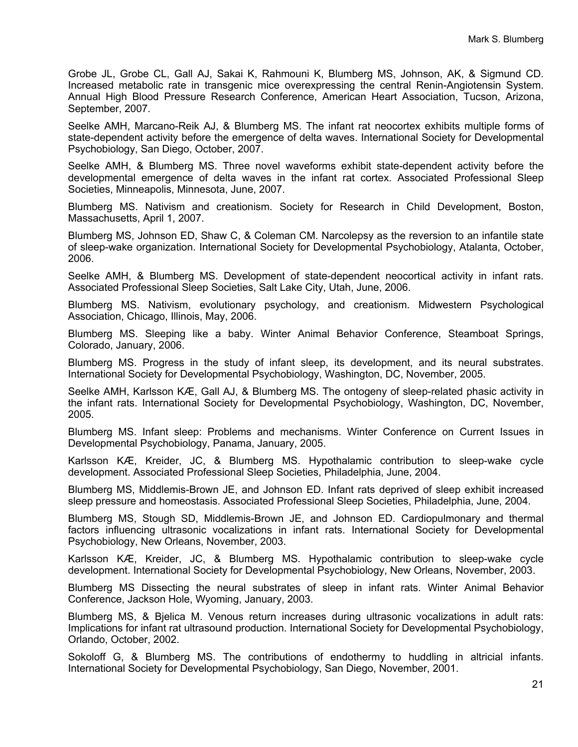Grobe JL, Grobe CL, Gall AJ, Sakai K, Rahmouni K, Blumberg MS, Johnson, AK, & Sigmund CD. Increased metabolic rate in transgenic mice overexpressing the central Renin-Angiotensin System. Annual High Blood Pressure Research Conference, American Heart Association, Tucson, Arizona, September, 2007.

Seelke AMH, Marcano-Reik AJ, & Blumberg MS. The infant rat neocortex exhibits multiple forms of state-dependent activity before the emergence of delta waves. International Society for Developmental Psychobiology, San Diego, October, 2007.

Seelke AMH, & Blumberg MS. Three novel waveforms exhibit state-dependent activity before the developmental emergence of delta waves in the infant rat cortex. Associated Professional Sleep Societies, Minneapolis, Minnesota, June, 2007.

Blumberg MS. Nativism and creationism. Society for Research in Child Development, Boston, Massachusetts, April 1, 2007.

Blumberg MS, Johnson ED, Shaw C, & Coleman CM. Narcolepsy as the reversion to an infantile state of sleep-wake organization. International Society for Developmental Psychobiology, Atalanta, October, 2006.

Seelke AMH, & Blumberg MS. Development of state-dependent neocortical activity in infant rats. Associated Professional Sleep Societies, Salt Lake City, Utah, June, 2006.

Blumberg MS. Nativism, evolutionary psychology, and creationism. Midwestern Psychological Association, Chicago, Illinois, May, 2006.

Blumberg MS. Sleeping like a baby. Winter Animal Behavior Conference, Steamboat Springs, Colorado, January, 2006.

Blumberg MS. Progress in the study of infant sleep, its development, and its neural substrates. International Society for Developmental Psychobiology, Washington, DC, November, 2005.

Seelke AMH, Karlsson KÆ, Gall AJ, & Blumberg MS. The ontogeny of sleep-related phasic activity in the infant rats. International Society for Developmental Psychobiology, Washington, DC, November, 2005.

Blumberg MS. Infant sleep: Problems and mechanisms. Winter Conference on Current Issues in Developmental Psychobiology, Panama, January, 2005.

Karlsson KÆ, Kreider, JC, & Blumberg MS. Hypothalamic contribution to sleep-wake cycle development. Associated Professional Sleep Societies, Philadelphia, June, 2004.

Blumberg MS, Middlemis-Brown JE, and Johnson ED. Infant rats deprived of sleep exhibit increased sleep pressure and homeostasis. Associated Professional Sleep Societies, Philadelphia, June, 2004.

Blumberg MS, Stough SD, Middlemis-Brown JE, and Johnson ED. Cardiopulmonary and thermal factors influencing ultrasonic vocalizations in infant rats. International Society for Developmental Psychobiology, New Orleans, November, 2003.

Karlsson KÆ, Kreider, JC, & Blumberg MS. Hypothalamic contribution to sleep-wake cycle development. International Society for Developmental Psychobiology, New Orleans, November, 2003.

Blumberg MS Dissecting the neural substrates of sleep in infant rats. Winter Animal Behavior Conference, Jackson Hole, Wyoming, January, 2003.

Blumberg MS, & Bjelica M. Venous return increases during ultrasonic vocalizations in adult rats: Implications for infant rat ultrasound production. International Society for Developmental Psychobiology, Orlando, October, 2002.

Sokoloff G, & Blumberg MS. The contributions of endothermy to huddling in altricial infants. International Society for Developmental Psychobiology, San Diego, November, 2001.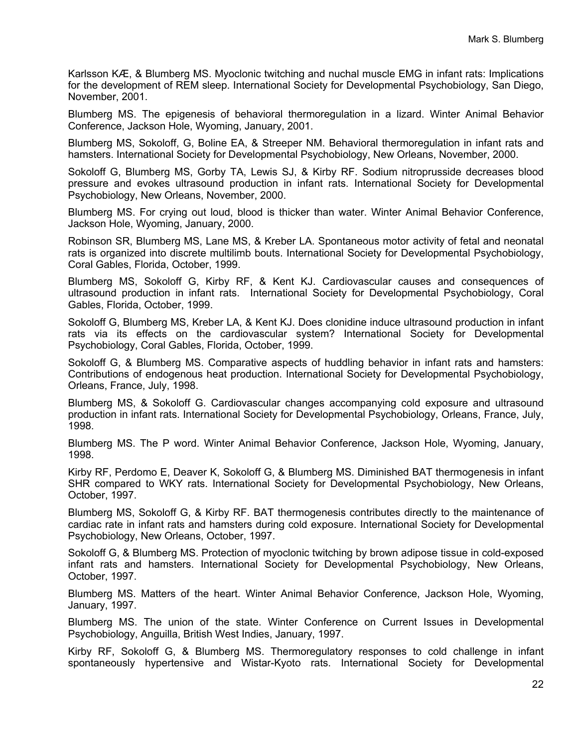Karlsson KÆ, & Blumberg MS. Myoclonic twitching and nuchal muscle EMG in infant rats: Implications for the development of REM sleep. International Society for Developmental Psychobiology, San Diego, November, 2001.

Blumberg MS. The epigenesis of behavioral thermoregulation in a lizard. Winter Animal Behavior Conference, Jackson Hole, Wyoming, January, 2001.

Blumberg MS, Sokoloff, G, Boline EA, & Streeper NM. Behavioral thermoregulation in infant rats and hamsters. International Society for Developmental Psychobiology, New Orleans, November, 2000.

Sokoloff G, Blumberg MS, Gorby TA, Lewis SJ, & Kirby RF. Sodium nitroprusside decreases blood pressure and evokes ultrasound production in infant rats. International Society for Developmental Psychobiology, New Orleans, November, 2000.

Blumberg MS. For crying out loud, blood is thicker than water. Winter Animal Behavior Conference, Jackson Hole, Wyoming, January, 2000.

Robinson SR, Blumberg MS, Lane MS, & Kreber LA. Spontaneous motor activity of fetal and neonatal rats is organized into discrete multilimb bouts. International Society for Developmental Psychobiology, Coral Gables, Florida, October, 1999.

Blumberg MS, Sokoloff G, Kirby RF, & Kent KJ. Cardiovascular causes and consequences of ultrasound production in infant rats. International Society for Developmental Psychobiology, Coral Gables, Florida, October, 1999.

Sokoloff G, Blumberg MS, Kreber LA, & Kent KJ. Does clonidine induce ultrasound production in infant rats via its effects on the cardiovascular system? International Society for Developmental Psychobiology, Coral Gables, Florida, October, 1999.

Sokoloff G, & Blumberg MS. Comparative aspects of huddling behavior in infant rats and hamsters: Contributions of endogenous heat production. International Society for Developmental Psychobiology, Orleans, France, July, 1998.

Blumberg MS, & Sokoloff G. Cardiovascular changes accompanying cold exposure and ultrasound production in infant rats. International Society for Developmental Psychobiology, Orleans, France, July, 1998.

Blumberg MS. The P word. Winter Animal Behavior Conference, Jackson Hole, Wyoming, January, 1998.

Kirby RF, Perdomo E, Deaver K, Sokoloff G, & Blumberg MS. Diminished BAT thermogenesis in infant SHR compared to WKY rats. International Society for Developmental Psychobiology, New Orleans, October, 1997.

Blumberg MS, Sokoloff G, & Kirby RF. BAT thermogenesis contributes directly to the maintenance of cardiac rate in infant rats and hamsters during cold exposure. International Society for Developmental Psychobiology, New Orleans, October, 1997.

Sokoloff G, & Blumberg MS. Protection of myoclonic twitching by brown adipose tissue in cold-exposed infant rats and hamsters. International Society for Developmental Psychobiology, New Orleans, October, 1997.

Blumberg MS. Matters of the heart. Winter Animal Behavior Conference, Jackson Hole, Wyoming, January, 1997.

Blumberg MS. The union of the state. Winter Conference on Current Issues in Developmental Psychobiology, Anguilla, British West Indies, January, 1997.

Kirby RF, Sokoloff G, & Blumberg MS. Thermoregulatory responses to cold challenge in infant spontaneously hypertensive and Wistar-Kyoto rats. International Society for Developmental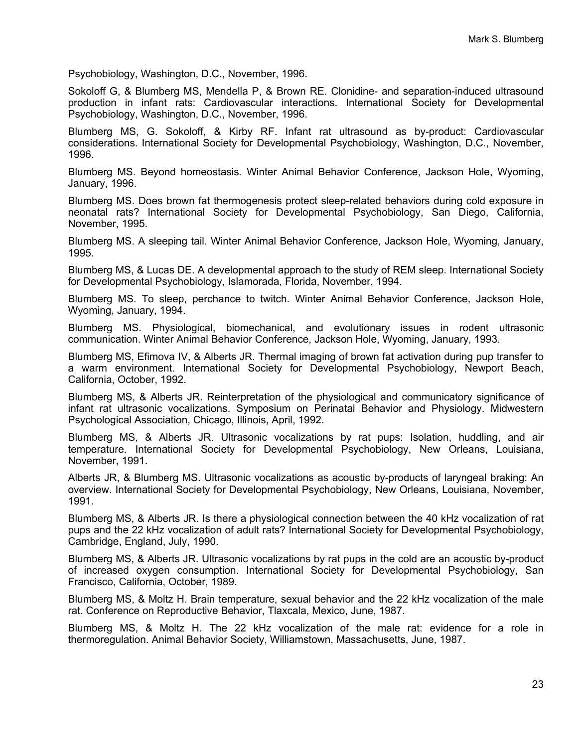Psychobiology, Washington, D.C., November, 1996.

Sokoloff G, & Blumberg MS, Mendella P, & Brown RE. Clonidine- and separation-induced ultrasound production in infant rats: Cardiovascular interactions. International Society for Developmental Psychobiology, Washington, D.C., November, 1996.

Blumberg MS, G. Sokoloff, & Kirby RF. Infant rat ultrasound as by-product: Cardiovascular considerations. International Society for Developmental Psychobiology, Washington, D.C., November, 1996.

Blumberg MS. Beyond homeostasis. Winter Animal Behavior Conference, Jackson Hole, Wyoming, January, 1996.

Blumberg MS. Does brown fat thermogenesis protect sleep-related behaviors during cold exposure in neonatal rats? International Society for Developmental Psychobiology, San Diego, California, November, 1995.

Blumberg MS. A sleeping tail. Winter Animal Behavior Conference, Jackson Hole, Wyoming, January, 1995.

Blumberg MS, & Lucas DE. A developmental approach to the study of REM sleep. International Society for Developmental Psychobiology, Islamorada, Florida, November, 1994.

Blumberg MS. To sleep, perchance to twitch. Winter Animal Behavior Conference, Jackson Hole, Wyoming, January, 1994.

Blumberg MS. Physiological, biomechanical, and evolutionary issues in rodent ultrasonic communication. Winter Animal Behavior Conference, Jackson Hole, Wyoming, January, 1993.

Blumberg MS, Efimova IV, & Alberts JR. Thermal imaging of brown fat activation during pup transfer to a warm environment. International Society for Developmental Psychobiology, Newport Beach, California, October, 1992.

Blumberg MS, & Alberts JR. Reinterpretation of the physiological and communicatory significance of infant rat ultrasonic vocalizations. Symposium on Perinatal Behavior and Physiology. Midwestern Psychological Association, Chicago, Illinois, April, 1992.

Blumberg MS, & Alberts JR. Ultrasonic vocalizations by rat pups: Isolation, huddling, and air temperature. International Society for Developmental Psychobiology, New Orleans, Louisiana, November, 1991.

Alberts JR, & Blumberg MS. Ultrasonic vocalizations as acoustic by-products of laryngeal braking: An overview. International Society for Developmental Psychobiology, New Orleans, Louisiana, November, 1991.

Blumberg MS, & Alberts JR. Is there a physiological connection between the 40 kHz vocalization of rat pups and the 22 kHz vocalization of adult rats? International Society for Developmental Psychobiology, Cambridge, England, July, 1990.

Blumberg MS, & Alberts JR. Ultrasonic vocalizations by rat pups in the cold are an acoustic by-product of increased oxygen consumption. International Society for Developmental Psychobiology, San Francisco, California, October, 1989.

Blumberg MS, & Moltz H. Brain temperature, sexual behavior and the 22 kHz vocalization of the male rat. Conference on Reproductive Behavior, Tlaxcala, Mexico, June, 1987.

Blumberg MS, & Moltz H. The 22 kHz vocalization of the male rat: evidence for a role in thermoregulation. Animal Behavior Society, Williamstown, Massachusetts, June, 1987.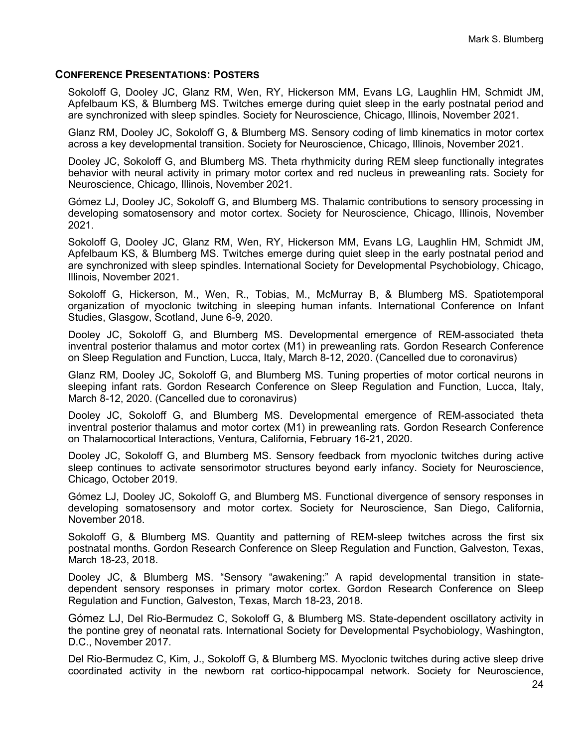#### **CONFERENCE PRESENTATIONS: POSTERS**

Sokoloff G, Dooley JC, Glanz RM, Wen, RY, Hickerson MM, Evans LG, Laughlin HM, Schmidt JM, Apfelbaum KS, & Blumberg MS. Twitches emerge during quiet sleep in the early postnatal period and are synchronized with sleep spindles. Society for Neuroscience, Chicago, Illinois, November 2021.

Glanz RM, Dooley JC, Sokoloff G, & Blumberg MS. Sensory coding of limb kinematics in motor cortex across a key developmental transition. Society for Neuroscience, Chicago, Illinois, November 2021.

Dooley JC, Sokoloff G, and Blumberg MS. Theta rhythmicity during REM sleep functionally integrates behavior with neural activity in primary motor cortex and red nucleus in preweanling rats. Society for Neuroscience, Chicago, Illinois, November 2021.

Gómez LJ, Dooley JC, Sokoloff G, and Blumberg MS. Thalamic contributions to sensory processing in developing somatosensory and motor cortex. Society for Neuroscience, Chicago, Illinois, November 2021.

Sokoloff G, Dooley JC, Glanz RM, Wen, RY, Hickerson MM, Evans LG, Laughlin HM, Schmidt JM, Apfelbaum KS, & Blumberg MS. Twitches emerge during quiet sleep in the early postnatal period and are synchronized with sleep spindles. International Society for Developmental Psychobiology, Chicago, Illinois, November 2021.

Sokoloff G, Hickerson, M., Wen, R., Tobias, M., McMurray B, & Blumberg MS. Spatiotemporal organization of myoclonic twitching in sleeping human infants. International Conference on Infant Studies, Glasgow, Scotland, June 6-9, 2020.

Dooley JC, Sokoloff G, and Blumberg MS. Developmental emergence of REM-associated theta inventral posterior thalamus and motor cortex (M1) in preweanling rats. Gordon Research Conference on Sleep Regulation and Function, Lucca, Italy, March 8-12, 2020. (Cancelled due to coronavirus)

Glanz RM, Dooley JC, Sokoloff G, and Blumberg MS. Tuning properties of motor cortical neurons in sleeping infant rats. Gordon Research Conference on Sleep Regulation and Function, Lucca, Italy, March 8-12, 2020. (Cancelled due to coronavirus)

Dooley JC, Sokoloff G, and Blumberg MS. Developmental emergence of REM-associated theta inventral posterior thalamus and motor cortex (M1) in preweanling rats. Gordon Research Conference on Thalamocortical Interactions, Ventura, California, February 16-21, 2020.

Dooley JC, Sokoloff G, and Blumberg MS. Sensory feedback from myoclonic twitches during active sleep continues to activate sensorimotor structures beyond early infancy. Society for Neuroscience, Chicago, October 2019.

Gómez LJ, Dooley JC, Sokoloff G, and Blumberg MS. Functional divergence of sensory responses in developing somatosensory and motor cortex. Society for Neuroscience, San Diego, California, November 2018.

Sokoloff G, & Blumberg MS. Quantity and patterning of REM-sleep twitches across the first six postnatal months. Gordon Research Conference on Sleep Regulation and Function, Galveston, Texas, March 18-23, 2018.

Dooley JC, & Blumberg MS. "Sensory "awakening:" A rapid developmental transition in statedependent sensory responses in primary motor cortex. Gordon Research Conference on Sleep Regulation and Function, Galveston, Texas, March 18-23, 2018.

Gómez LJ, Del Rio-Bermudez C, Sokoloff G, & Blumberg MS. State-dependent oscillatory activity in the pontine grey of neonatal rats. International Society for Developmental Psychobiology, Washington, D.C., November 2017.

Del Rio-Bermudez C, Kim, J., Sokoloff G, & Blumberg MS. Myoclonic twitches during active sleep drive coordinated activity in the newborn rat cortico-hippocampal network. Society for Neuroscience,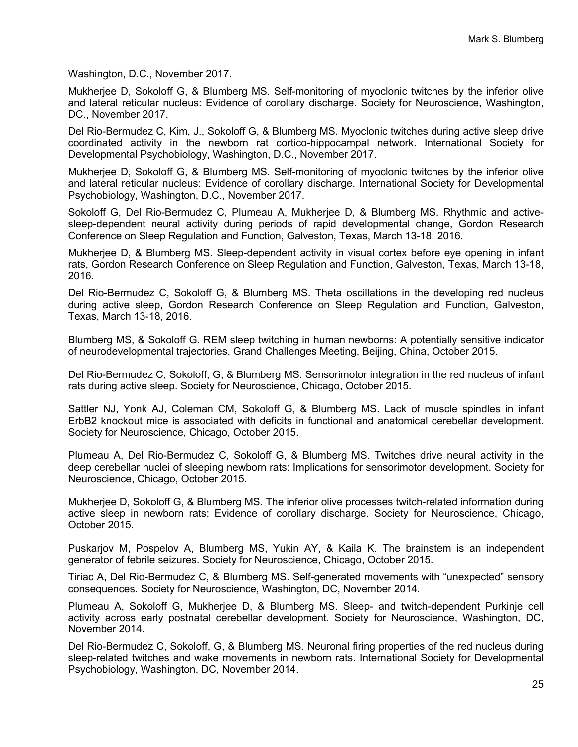Washington, D.C., November 2017.

Mukherjee D, Sokoloff G, & Blumberg MS. Self-monitoring of myoclonic twitches by the inferior olive and lateral reticular nucleus: Evidence of corollary discharge. Society for Neuroscience, Washington, DC., November 2017.

Del Rio-Bermudez C, Kim, J., Sokoloff G, & Blumberg MS. Myoclonic twitches during active sleep drive coordinated activity in the newborn rat cortico-hippocampal network. International Society for Developmental Psychobiology, Washington, D.C., November 2017.

Mukherjee D, Sokoloff G, & Blumberg MS. Self-monitoring of myoclonic twitches by the inferior olive and lateral reticular nucleus: Evidence of corollary discharge. International Society for Developmental Psychobiology, Washington, D.C., November 2017.

Sokoloff G, Del Rio-Bermudez C, Plumeau A, Mukherjee D, & Blumberg MS. Rhythmic and activesleep-dependent neural activity during periods of rapid developmental change, Gordon Research Conference on Sleep Regulation and Function, Galveston, Texas, March 13-18, 2016.

Mukherjee D, & Blumberg MS. Sleep-dependent activity in visual cortex before eye opening in infant rats, Gordon Research Conference on Sleep Regulation and Function, Galveston, Texas, March 13-18, 2016.

Del Rio-Bermudez C, Sokoloff G, & Blumberg MS. Theta oscillations in the developing red nucleus during active sleep, Gordon Research Conference on Sleep Regulation and Function, Galveston, Texas, March 13-18, 2016.

Blumberg MS, & Sokoloff G. REM sleep twitching in human newborns: A potentially sensitive indicator of neurodevelopmental trajectories. Grand Challenges Meeting, Beijing, China, October 2015.

Del Rio-Bermudez C, Sokoloff, G, & Blumberg MS. Sensorimotor integration in the red nucleus of infant rats during active sleep. Society for Neuroscience, Chicago, October 2015.

Sattler NJ, Yonk AJ, Coleman CM, Sokoloff G, & Blumberg MS. Lack of muscle spindles in infant ErbB2 knockout mice is associated with deficits in functional and anatomical cerebellar development. Society for Neuroscience, Chicago, October 2015.

Plumeau A, Del Rio-Bermudez C, Sokoloff G, & Blumberg MS. Twitches drive neural activity in the deep cerebellar nuclei of sleeping newborn rats: Implications for sensorimotor development. Society for Neuroscience, Chicago, October 2015.

Mukherjee D, Sokoloff G, & Blumberg MS. The inferior olive processes twitch-related information during active sleep in newborn rats: Evidence of corollary discharge. Society for Neuroscience, Chicago, October 2015.

Puskarjov M, Pospelov A, Blumberg MS, Yukin AY, & Kaila K. The brainstem is an independent generator of febrile seizures. Society for Neuroscience, Chicago, October 2015.

Tiriac A, Del Rio-Bermudez C, & Blumberg MS. Self-generated movements with "unexpected" sensory consequences. Society for Neuroscience, Washington, DC, November 2014.

Plumeau A, Sokoloff G, Mukherjee D, & Blumberg MS. Sleep- and twitch-dependent Purkinje cell activity across early postnatal cerebellar development. Society for Neuroscience, Washington, DC, November 2014.

Del Rio-Bermudez C, Sokoloff, G, & Blumberg MS. Neuronal firing properties of the red nucleus during sleep-related twitches and wake movements in newborn rats. International Society for Developmental Psychobiology, Washington, DC, November 2014.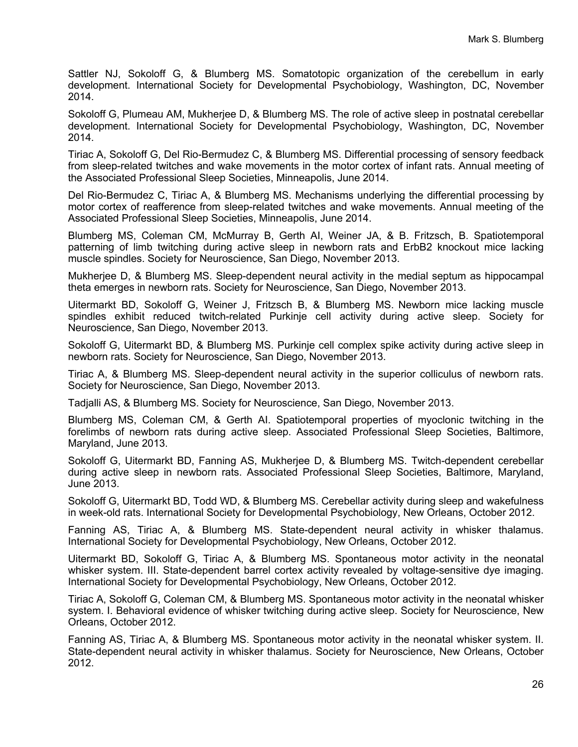Sattler NJ, Sokoloff G, & Blumberg MS. Somatotopic organization of the cerebellum in early development. International Society for Developmental Psychobiology, Washington, DC, November 2014.

Sokoloff G, Plumeau AM, Mukherjee D, & Blumberg MS. The role of active sleep in postnatal cerebellar development. International Society for Developmental Psychobiology, Washington, DC, November 2014.

Tiriac A, Sokoloff G, Del Rio-Bermudez C, & Blumberg MS. Differential processing of sensory feedback from sleep-related twitches and wake movements in the motor cortex of infant rats. Annual meeting of the Associated Professional Sleep Societies, Minneapolis, June 2014.

Del Rio-Bermudez C, Tiriac A, & Blumberg MS. Mechanisms underlying the differential processing by motor cortex of reafference from sleep-related twitches and wake movements. Annual meeting of the Associated Professional Sleep Societies, Minneapolis, June 2014.

Blumberg MS, Coleman CM, McMurray B, Gerth AI, Weiner JA, & B. Fritzsch, B. Spatiotemporal patterning of limb twitching during active sleep in newborn rats and ErbB2 knockout mice lacking muscle spindles. Society for Neuroscience, San Diego, November 2013.

Mukherjee D, & Blumberg MS. Sleep-dependent neural activity in the medial septum as hippocampal theta emerges in newborn rats. Society for Neuroscience, San Diego, November 2013.

Uitermarkt BD, Sokoloff G, Weiner J, Fritzsch B, & Blumberg MS. Newborn mice lacking muscle spindles exhibit reduced twitch-related Purkinje cell activity during active sleep. Society for Neuroscience, San Diego, November 2013.

Sokoloff G, Uitermarkt BD, & Blumberg MS. Purkinje cell complex spike activity during active sleep in newborn rats. Society for Neuroscience, San Diego, November 2013.

Tiriac A, & Blumberg MS. Sleep-dependent neural activity in the superior colliculus of newborn rats. Society for Neuroscience, San Diego, November 2013.

Tadjalli AS, & Blumberg MS. Society for Neuroscience, San Diego, November 2013.

Blumberg MS, Coleman CM, & Gerth AI. Spatiotemporal properties of myoclonic twitching in the forelimbs of newborn rats during active sleep. Associated Professional Sleep Societies, Baltimore, Maryland, June 2013.

Sokoloff G, Uitermarkt BD, Fanning AS, Mukherjee D, & Blumberg MS. Twitch-dependent cerebellar during active sleep in newborn rats. Associated Professional Sleep Societies, Baltimore, Maryland, June 2013.

Sokoloff G, Uitermarkt BD, Todd WD, & Blumberg MS. Cerebellar activity during sleep and wakefulness in week-old rats. International Society for Developmental Psychobiology, New Orleans, October 2012.

Fanning AS, Tiriac A, & Blumberg MS. State-dependent neural activity in whisker thalamus. International Society for Developmental Psychobiology, New Orleans, October 2012.

Uitermarkt BD, Sokoloff G, Tiriac A, & Blumberg MS. Spontaneous motor activity in the neonatal whisker system. III. State-dependent barrel cortex activity revealed by voltage-sensitive dye imaging. International Society for Developmental Psychobiology, New Orleans, October 2012.

Tiriac A, Sokoloff G, Coleman CM, & Blumberg MS. Spontaneous motor activity in the neonatal whisker system. I. Behavioral evidence of whisker twitching during active sleep. Society for Neuroscience, New Orleans, October 2012.

Fanning AS, Tiriac A, & Blumberg MS. Spontaneous motor activity in the neonatal whisker system. II. State-dependent neural activity in whisker thalamus. Society for Neuroscience, New Orleans, October 2012.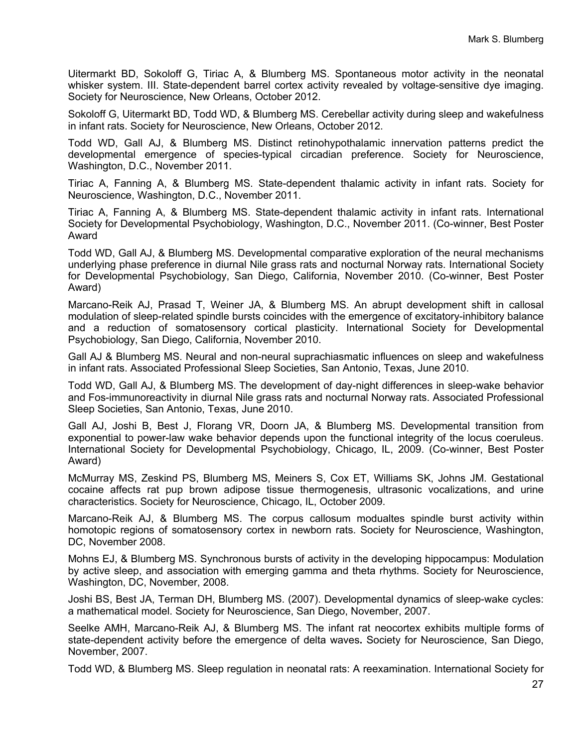Uitermarkt BD, Sokoloff G, Tiriac A, & Blumberg MS. Spontaneous motor activity in the neonatal whisker system. III. State-dependent barrel cortex activity revealed by voltage-sensitive dye imaging. Society for Neuroscience, New Orleans, October 2012.

Sokoloff G, Uitermarkt BD, Todd WD, & Blumberg MS. Cerebellar activity during sleep and wakefulness in infant rats. Society for Neuroscience, New Orleans, October 2012.

Todd WD, Gall AJ, & Blumberg MS. Distinct retinohypothalamic innervation patterns predict the developmental emergence of species-typical circadian preference. Society for Neuroscience, Washington, D.C., November 2011.

Tiriac A, Fanning A, & Blumberg MS. State-dependent thalamic activity in infant rats. Society for Neuroscience, Washington, D.C., November 2011.

Tiriac A, Fanning A, & Blumberg MS. State-dependent thalamic activity in infant rats. International Society for Developmental Psychobiology, Washington, D.C., November 2011. (Co-winner, Best Poster Award

Todd WD, Gall AJ, & Blumberg MS. Developmental comparative exploration of the neural mechanisms underlying phase preference in diurnal Nile grass rats and nocturnal Norway rats. International Society for Developmental Psychobiology, San Diego, California, November 2010. (Co-winner, Best Poster Award)

Marcano-Reik AJ, Prasad T, Weiner JA, & Blumberg MS. An abrupt development shift in callosal modulation of sleep-related spindle bursts coincides with the emergence of excitatory-inhibitory balance and a reduction of somatosensory cortical plasticity. International Society for Developmental Psychobiology, San Diego, California, November 2010.

Gall AJ & Blumberg MS. Neural and non-neural suprachiasmatic influences on sleep and wakefulness in infant rats. Associated Professional Sleep Societies, San Antonio, Texas, June 2010.

Todd WD, Gall AJ, & Blumberg MS. The development of day-night differences in sleep-wake behavior and Fos-immunoreactivity in diurnal Nile grass rats and nocturnal Norway rats. Associated Professional Sleep Societies, San Antonio, Texas, June 2010.

Gall AJ, Joshi B, Best J, Florang VR, Doorn JA, & Blumberg MS. Developmental transition from exponential to power-law wake behavior depends upon the functional integrity of the locus coeruleus. International Society for Developmental Psychobiology, Chicago, IL, 2009. (Co-winner, Best Poster Award)

McMurray MS, Zeskind PS, Blumberg MS, Meiners S, Cox ET, Williams SK, Johns JM. Gestational cocaine affects rat pup brown adipose tissue thermogenesis, ultrasonic vocalizations, and urine characteristics. Society for Neuroscience, Chicago, IL, October 2009.

Marcano-Reik AJ, & Blumberg MS. The corpus callosum modualtes spindle burst activity within homotopic regions of somatosensory cortex in newborn rats. Society for Neuroscience, Washington, DC, November 2008.

Mohns EJ, & Blumberg MS. Synchronous bursts of activity in the developing hippocampus: Modulation by active sleep, and association with emerging gamma and theta rhythms. Society for Neuroscience, Washington, DC, November, 2008.

Joshi BS, Best JA, Terman DH, Blumberg MS. (2007). Developmental dynamics of sleep-wake cycles: a mathematical model. Society for Neuroscience, San Diego, November, 2007.

Seelke AMH, Marcano-Reik AJ, & Blumberg MS. The infant rat neocortex exhibits multiple forms of state-dependent activity before the emergence of delta waves**.** Society for Neuroscience, San Diego, November, 2007.

Todd WD, & Blumberg MS. Sleep regulation in neonatal rats: A reexamination. International Society for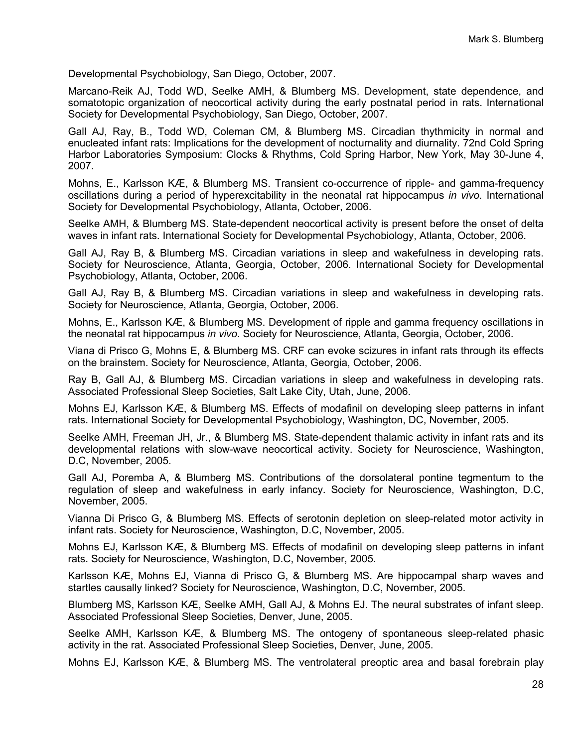Developmental Psychobiology, San Diego, October, 2007.

Marcano-Reik AJ, Todd WD, Seelke AMH, & Blumberg MS. Development, state dependence, and somatotopic organization of neocortical activity during the early postnatal period in rats. International Society for Developmental Psychobiology, San Diego, October, 2007.

Gall AJ, Ray, B., Todd WD, Coleman CM, & Blumberg MS. Circadian thythmicity in normal and enucleated infant rats: Implications for the development of nocturnality and diurnality. 72nd Cold Spring Harbor Laboratories Symposium: Clocks & Rhythms, Cold Spring Harbor, New York, May 30-June 4, 2007.

Mohns, E., Karlsson KÆ, & Blumberg MS. Transient co-occurrence of ripple- and gamma-frequency oscillations during a period of hyperexcitability in the neonatal rat hippocampus *in vivo.* International Society for Developmental Psychobiology, Atlanta, October, 2006.

Seelke AMH, & Blumberg MS. State-dependent neocortical activity is present before the onset of delta waves in infant rats. International Society for Developmental Psychobiology, Atlanta, October, 2006.

Gall AJ, Ray B, & Blumberg MS. Circadian variations in sleep and wakefulness in developing rats. Society for Neuroscience, Atlanta, Georgia, October, 2006. International Society for Developmental Psychobiology, Atlanta, October, 2006.

Gall AJ, Ray B, & Blumberg MS. Circadian variations in sleep and wakefulness in developing rats. Society for Neuroscience, Atlanta, Georgia, October, 2006.

Mohns, E., Karlsson KÆ, & Blumberg MS. Development of ripple and gamma frequency oscillations in the neonatal rat hippocampus *in vivo*. Society for Neuroscience, Atlanta, Georgia, October, 2006.

Viana di Prisco G, Mohns E, & Blumberg MS. CRF can evoke scizures in infant rats through its effects on the brainstem. Society for Neuroscience, Atlanta, Georgia, October, 2006.

Ray B, Gall AJ, & Blumberg MS. Circadian variations in sleep and wakefulness in developing rats. Associated Professional Sleep Societies, Salt Lake City, Utah, June, 2006.

Mohns EJ, Karlsson KÆ, & Blumberg MS. Effects of modafinil on developing sleep patterns in infant rats. International Society for Developmental Psychobiology, Washington, DC, November, 2005.

Seelke AMH, Freeman JH, Jr., & Blumberg MS. State-dependent thalamic activity in infant rats and its developmental relations with slow-wave neocortical activity. Society for Neuroscience, Washington, D.C, November, 2005.

Gall AJ, Poremba A, & Blumberg MS. Contributions of the dorsolateral pontine tegmentum to the regulation of sleep and wakefulness in early infancy. Society for Neuroscience, Washington, D.C, November, 2005.

Vianna Di Prisco G, & Blumberg MS. Effects of serotonin depletion on sleep-related motor activity in infant rats. Society for Neuroscience, Washington, D.C, November, 2005.

Mohns EJ, Karlsson KÆ, & Blumberg MS. Effects of modafinil on developing sleep patterns in infant rats. Society for Neuroscience, Washington, D.C, November, 2005.

Karlsson KÆ, Mohns EJ, Vianna di Prisco G, & Blumberg MS. Are hippocampal sharp waves and startles causally linked? Society for Neuroscience, Washington, D.C, November, 2005.

Blumberg MS, Karlsson KÆ, Seelke AMH, Gall AJ, & Mohns EJ. The neural substrates of infant sleep. Associated Professional Sleep Societies, Denver, June, 2005.

Seelke AMH, Karlsson KÆ, & Blumberg MS. The ontogeny of spontaneous sleep-related phasic activity in the rat. Associated Professional Sleep Societies, Denver, June, 2005.

Mohns EJ, Karlsson KÆ, & Blumberg MS. The ventrolateral preoptic area and basal forebrain play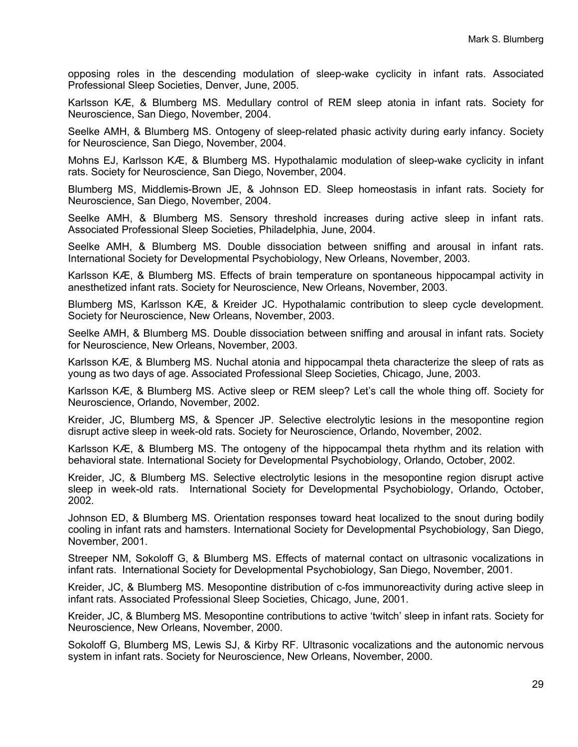opposing roles in the descending modulation of sleep-wake cyclicity in infant rats. Associated Professional Sleep Societies, Denver, June, 2005.

Karlsson KÆ, & Blumberg MS. Medullary control of REM sleep atonia in infant rats. Society for Neuroscience, San Diego, November, 2004.

Seelke AMH, & Blumberg MS. Ontogeny of sleep-related phasic activity during early infancy. Society for Neuroscience, San Diego, November, 2004.

Mohns EJ, Karlsson KÆ, & Blumberg MS. Hypothalamic modulation of sleep-wake cyclicity in infant rats. Society for Neuroscience, San Diego, November, 2004.

Blumberg MS, Middlemis-Brown JE, & Johnson ED. Sleep homeostasis in infant rats. Society for Neuroscience, San Diego, November, 2004.

Seelke AMH, & Blumberg MS. Sensory threshold increases during active sleep in infant rats. Associated Professional Sleep Societies, Philadelphia, June, 2004.

Seelke AMH, & Blumberg MS. Double dissociation between sniffing and arousal in infant rats. International Society for Developmental Psychobiology, New Orleans, November, 2003.

Karlsson KÆ, & Blumberg MS. Effects of brain temperature on spontaneous hippocampal activity in anesthetized infant rats. Society for Neuroscience, New Orleans, November, 2003.

Blumberg MS, Karlsson KÆ, & Kreider JC. Hypothalamic contribution to sleep cycle development. Society for Neuroscience, New Orleans, November, 2003.

Seelke AMH, & Blumberg MS. Double dissociation between sniffing and arousal in infant rats. Society for Neuroscience, New Orleans, November, 2003.

Karlsson KÆ, & Blumberg MS. Nuchal atonia and hippocampal theta characterize the sleep of rats as young as two days of age. Associated Professional Sleep Societies, Chicago, June, 2003.

Karlsson KÆ, & Blumberg MS. Active sleep or REM sleep? Let's call the whole thing off. Society for Neuroscience, Orlando, November, 2002.

Kreider, JC, Blumberg MS, & Spencer JP. Selective electrolytic lesions in the mesopontine region disrupt active sleep in week-old rats. Society for Neuroscience, Orlando, November, 2002.

Karlsson KÆ, & Blumberg MS. The ontogeny of the hippocampal theta rhythm and its relation with behavioral state. International Society for Developmental Psychobiology, Orlando, October, 2002.

Kreider, JC, & Blumberg MS. Selective electrolytic lesions in the mesopontine region disrupt active sleep in week-old rats. International Society for Developmental Psychobiology, Orlando, October, 2002.

Johnson ED, & Blumberg MS. Orientation responses toward heat localized to the snout during bodily cooling in infant rats and hamsters. International Society for Developmental Psychobiology, San Diego, November, 2001.

Streeper NM, Sokoloff G, & Blumberg MS. Effects of maternal contact on ultrasonic vocalizations in infant rats. International Society for Developmental Psychobiology, San Diego, November, 2001.

Kreider, JC, & Blumberg MS. Mesopontine distribution of c-fos immunoreactivity during active sleep in infant rats. Associated Professional Sleep Societies, Chicago, June, 2001.

Kreider, JC, & Blumberg MS. Mesopontine contributions to active 'twitch' sleep in infant rats. Society for Neuroscience, New Orleans, November, 2000.

Sokoloff G, Blumberg MS, Lewis SJ, & Kirby RF. Ultrasonic vocalizations and the autonomic nervous system in infant rats. Society for Neuroscience, New Orleans, November, 2000.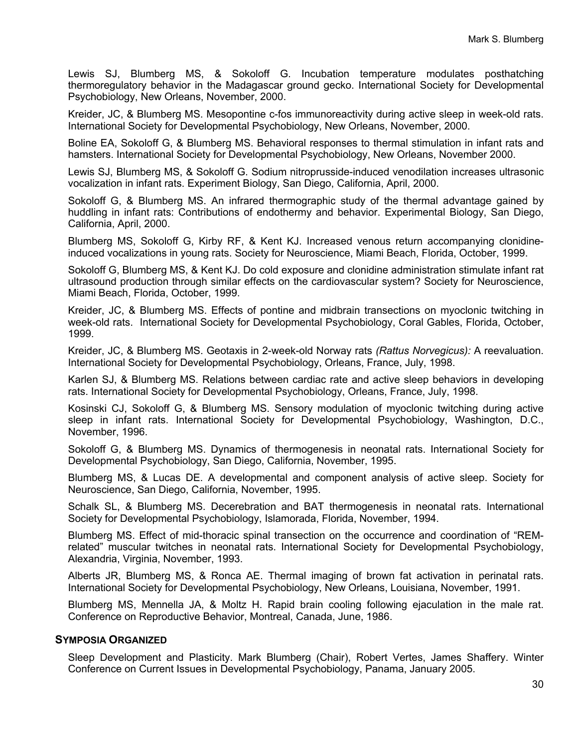Lewis SJ, Blumberg MS, & Sokoloff G. Incubation temperature modulates posthatching thermoregulatory behavior in the Madagascar ground gecko. International Society for Developmental Psychobiology, New Orleans, November, 2000.

Kreider, JC, & Blumberg MS. Mesopontine c-fos immunoreactivity during active sleep in week-old rats. International Society for Developmental Psychobiology, New Orleans, November, 2000.

Boline EA, Sokoloff G, & Blumberg MS. Behavioral responses to thermal stimulation in infant rats and hamsters. International Society for Developmental Psychobiology, New Orleans, November 2000.

Lewis SJ, Blumberg MS, & Sokoloff G. Sodium nitroprusside-induced venodilation increases ultrasonic vocalization in infant rats. Experiment Biology, San Diego, California, April, 2000.

Sokoloff G, & Blumberg MS. An infrared thermographic study of the thermal advantage gained by huddling in infant rats: Contributions of endothermy and behavior. Experimental Biology, San Diego, California, April, 2000.

Blumberg MS, Sokoloff G, Kirby RF, & Kent KJ. Increased venous return accompanying clonidineinduced vocalizations in young rats. Society for Neuroscience, Miami Beach, Florida, October, 1999.

Sokoloff G, Blumberg MS, & Kent KJ. Do cold exposure and clonidine administration stimulate infant rat ultrasound production through similar effects on the cardiovascular system? Society for Neuroscience, Miami Beach, Florida, October, 1999.

Kreider, JC, & Blumberg MS. Effects of pontine and midbrain transections on myoclonic twitching in week-old rats. International Society for Developmental Psychobiology, Coral Gables, Florida, October, 1999.

Kreider, JC, & Blumberg MS. Geotaxis in 2-week-old Norway rats *(Rattus Norvegicus):* A reevaluation. International Society for Developmental Psychobiology, Orleans, France, July, 1998.

Karlen SJ, & Blumberg MS. Relations between cardiac rate and active sleep behaviors in developing rats. International Society for Developmental Psychobiology, Orleans, France, July, 1998.

Kosinski CJ, Sokoloff G, & Blumberg MS. Sensory modulation of myoclonic twitching during active sleep in infant rats. International Society for Developmental Psychobiology, Washington, D.C., November, 1996.

Sokoloff G, & Blumberg MS. Dynamics of thermogenesis in neonatal rats. International Society for Developmental Psychobiology, San Diego, California, November, 1995.

Blumberg MS, & Lucas DE. A developmental and component analysis of active sleep. Society for Neuroscience, San Diego, California, November, 1995.

Schalk SL, & Blumberg MS. Decerebration and BAT thermogenesis in neonatal rats. International Society for Developmental Psychobiology, Islamorada, Florida, November, 1994.

Blumberg MS. Effect of mid-thoracic spinal transection on the occurrence and coordination of "REMrelated" muscular twitches in neonatal rats. International Society for Developmental Psychobiology, Alexandria, Virginia, November, 1993.

Alberts JR, Blumberg MS, & Ronca AE. Thermal imaging of brown fat activation in perinatal rats. International Society for Developmental Psychobiology, New Orleans, Louisiana, November, 1991.

Blumberg MS, Mennella JA, & Moltz H. Rapid brain cooling following ejaculation in the male rat. Conference on Reproductive Behavior, Montreal, Canada, June, 1986.

#### **SYMPOSIA ORGANIZED**

Sleep Development and Plasticity. Mark Blumberg (Chair), Robert Vertes, James Shaffery. Winter Conference on Current Issues in Developmental Psychobiology, Panama, January 2005.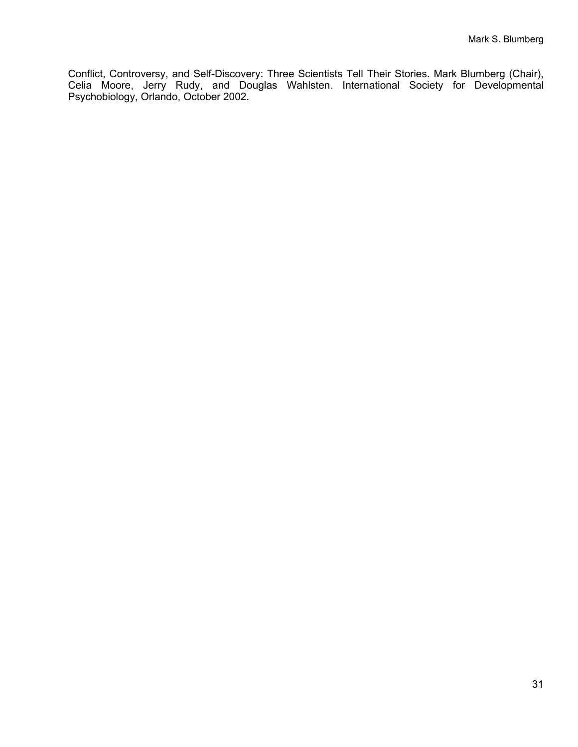Conflict, Controversy, and Self-Discovery: Three Scientists Tell Their Stories. Mark Blumberg (Chair), Celia Moore, Jerry Rudy, and Douglas Wahlsten. International Society for Developmental Psychobiology, Orlando, October 2002.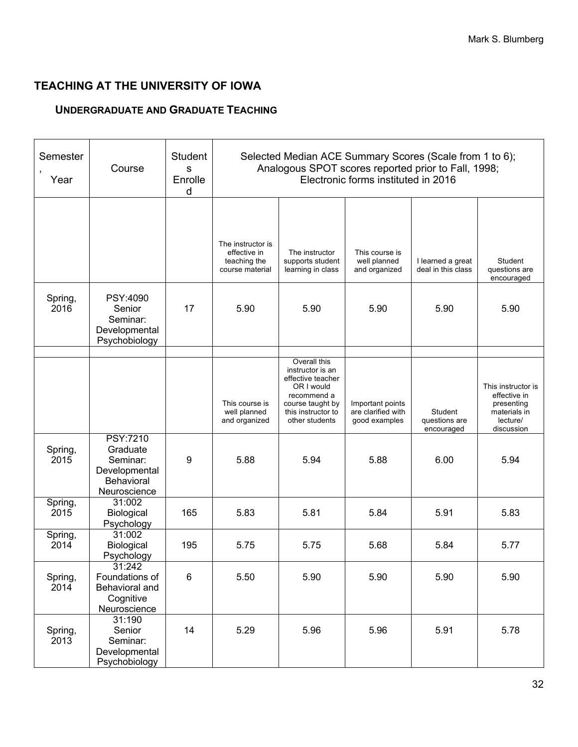# **TEACHING AT THE UNIVERSITY OF IOWA**

# **UNDERGRADUATE AND GRADUATE TEACHING**

| Semester<br>Year | Course                                                                                 | <b>Student</b><br>S<br>Enrolle<br>d | Selected Median ACE Summary Scores (Scale from 1 to 6);<br>Analogous SPOT scores reported prior to Fall, 1998;<br>Electronic forms instituted in 2016 |                                                                                                                                                |                                                         |                                         |                                                                                            |
|------------------|----------------------------------------------------------------------------------------|-------------------------------------|-------------------------------------------------------------------------------------------------------------------------------------------------------|------------------------------------------------------------------------------------------------------------------------------------------------|---------------------------------------------------------|-----------------------------------------|--------------------------------------------------------------------------------------------|
|                  |                                                                                        |                                     | The instructor is                                                                                                                                     |                                                                                                                                                |                                                         |                                         |                                                                                            |
|                  |                                                                                        |                                     | effective in<br>teaching the<br>course material                                                                                                       | The instructor<br>supports student<br>learning in class                                                                                        | This course is<br>well planned<br>and organized         | I learned a great<br>deal in this class | Student<br>questions are<br>encouraged                                                     |
| Spring,<br>2016  | PSY:4090<br>Senior<br>Seminar:<br>Developmental<br>Psychobiology                       | 17                                  | 5.90                                                                                                                                                  | 5.90                                                                                                                                           |                                                         | 5.90                                    | 5.90                                                                                       |
|                  |                                                                                        |                                     | This course is<br>well planned<br>and organized                                                                                                       | Overall this<br>instructor is an<br>effective teacher<br>OR I would<br>recommend a<br>course taught by<br>this instructor to<br>other students | Important points<br>are clarified with<br>good examples | Student<br>questions are<br>encouraged  | This instructor is<br>effective in<br>presenting<br>materials in<br>lecture/<br>discussion |
| Spring,<br>2015  | <b>PSY:7210</b><br>Graduate<br>Seminar:<br>Developmental<br>Behavioral<br>Neuroscience | 9                                   | 5.88                                                                                                                                                  | 5.94                                                                                                                                           | 5.88                                                    | 6.00                                    | 5.94                                                                                       |
| Spring,<br>2015  | 31:002<br>Biological<br>Psychology                                                     | 165                                 | 5.83                                                                                                                                                  | 5.81                                                                                                                                           | 5.84                                                    | 5.91                                    | 5.83                                                                                       |
| Spring,<br>2014  | 31:002<br>Biological<br>Psychology                                                     | 195                                 | 5.75                                                                                                                                                  | 5.75                                                                                                                                           | 5.68                                                    | 5.84                                    | 5.77                                                                                       |
| Spring,<br>2014  | 31:242<br>Foundations of<br>Behavioral and<br>Cognitive<br>Neuroscience                | $\,6$                               | 5.50                                                                                                                                                  | 5.90                                                                                                                                           | 5.90                                                    | 5.90                                    | 5.90                                                                                       |
| Spring,<br>2013  | 31:190<br>Senior<br>Seminar:<br>Developmental<br>Psychobiology                         | 14                                  | 5.29                                                                                                                                                  | 5.96                                                                                                                                           | 5.96                                                    | 5.91                                    | 5.78                                                                                       |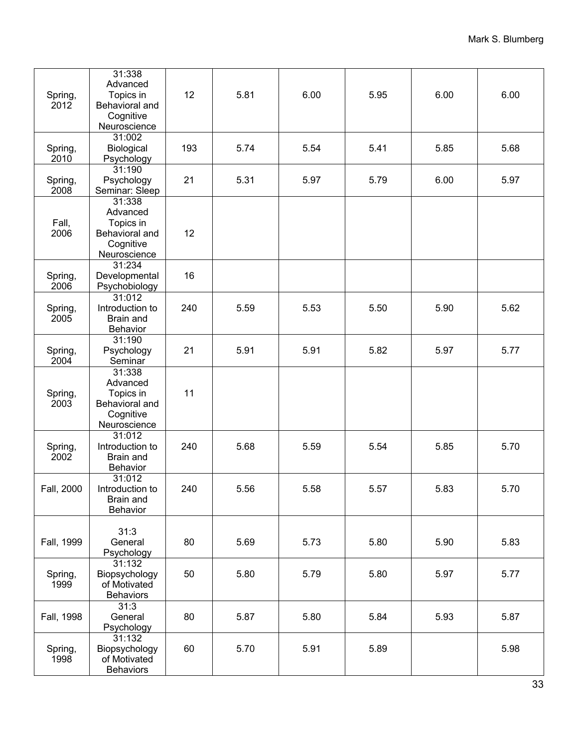| Spring,<br>2012 | 31:338<br>Advanced<br>Topics in<br>Behavioral and<br>Cognitive<br>Neuroscience | 12  | 5.81 | 6.00 | 5.95 | 6.00 | 6.00 |
|-----------------|--------------------------------------------------------------------------------|-----|------|------|------|------|------|
| Spring,<br>2010 | 31:002<br>Biological<br>Psychology                                             | 193 | 5.74 | 5.54 | 5.41 | 5.85 | 5.68 |
| Spring,<br>2008 | 31:190<br>Psychology<br>Seminar: Sleep                                         | 21  | 5.31 | 5.97 | 5.79 | 6.00 | 5.97 |
| Fall,<br>2006   | 31:338<br>Advanced<br>Topics in<br>Behavioral and<br>Cognitive<br>Neuroscience | 12  |      |      |      |      |      |
| Spring,<br>2006 | 31:234<br>Developmental<br>Psychobiology                                       | 16  |      |      |      |      |      |
| Spring,<br>2005 | 31:012<br>Introduction to<br>Brain and<br>Behavior                             | 240 | 5.59 | 5.53 | 5.50 | 5.90 | 5.62 |
| Spring,<br>2004 | 31:190<br>Psychology<br>Seminar                                                | 21  | 5.91 | 5.91 | 5.82 | 5.97 | 5.77 |
| Spring,<br>2003 | 31:338<br>Advanced<br>Topics in<br>Behavioral and<br>Cognitive<br>Neuroscience | 11  |      |      |      |      |      |
| Spring,<br>2002 | 31:012<br>Introduction to<br>Brain and<br>Behavior                             | 240 | 5.68 | 5.59 | 5.54 | 5.85 | 5.70 |
| Fall. 2000      | 31:012<br>Introduction to<br>Brain and<br>Behavior                             | 240 | 5.56 | 5.58 | 5.57 | 5.83 | 5.70 |
| Fall, 1999      | 31:3<br>General<br>Psychology                                                  | 80  | 5.69 | 5.73 | 5.80 | 5.90 | 5.83 |
| Spring,<br>1999 | 31:132<br>Biopsychology<br>of Motivated<br><b>Behaviors</b>                    | 50  | 5.80 | 5.79 | 5.80 | 5.97 | 5.77 |
| Fall, 1998      | 31:3<br>General<br>Psychology                                                  | 80  | 5.87 | 5.80 | 5.84 | 5.93 | 5.87 |
| Spring,<br>1998 | 31:132<br>Biopsychology<br>of Motivated<br><b>Behaviors</b>                    | 60  | 5.70 | 5.91 | 5.89 |      | 5.98 |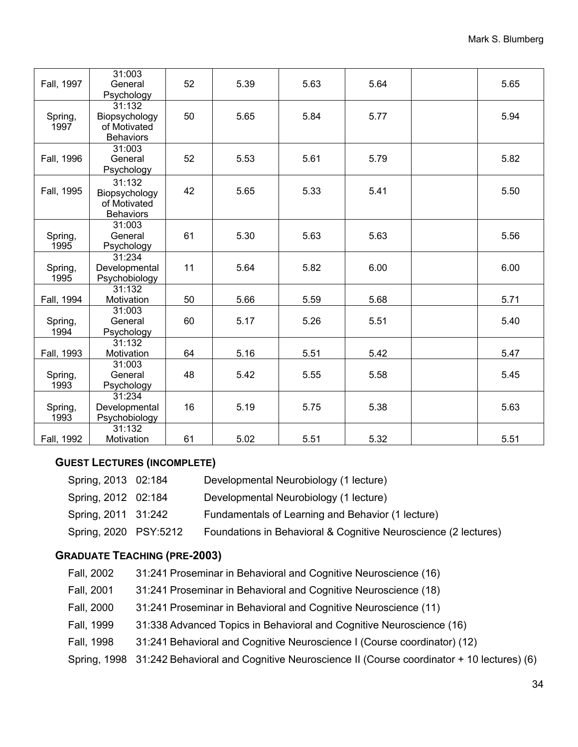| Fall, 1997      | 31:003<br>General<br>Psychology                             | 52 | 5.39 | 5.63 | 5.64 | 5.65 |
|-----------------|-------------------------------------------------------------|----|------|------|------|------|
| Spring,<br>1997 | 31:132<br>Biopsychology<br>of Motivated<br><b>Behaviors</b> | 50 | 5.65 | 5.84 | 5.77 | 5.94 |
| Fall, 1996      | 31:003<br>General<br>Psychology                             | 52 | 5.53 | 5.61 | 5.79 | 5.82 |
| Fall, 1995      | 31:132<br>Biopsychology<br>of Motivated<br><b>Behaviors</b> | 42 | 5.65 | 5.33 | 5.41 | 5.50 |
| Spring,<br>1995 | 31:003<br>General<br>Psychology                             | 61 | 5.30 | 5.63 | 5.63 | 5.56 |
| Spring,<br>1995 | 31:234<br>Developmental<br>Psychobiology                    | 11 | 5.64 | 5.82 | 6.00 | 6.00 |
| Fall, 1994      | 31:132<br>Motivation                                        | 50 | 5.66 | 5.59 | 5.68 | 5.71 |
| Spring,<br>1994 | 31:003<br>General<br>Psychology                             | 60 | 5.17 | 5.26 | 5.51 | 5.40 |
| Fall, 1993      | 31:132<br>Motivation                                        | 64 | 5.16 | 5.51 | 5.42 | 5.47 |
| Spring,<br>1993 | 31:003<br>General<br>Psychology                             | 48 | 5.42 | 5.55 | 5.58 | 5.45 |
| Spring,<br>1993 | 31:234<br>Developmental<br>Psychobiology                    | 16 | 5.19 | 5.75 | 5.38 | 5.63 |
| Fall, 1992      | 31:132<br>Motivation                                        | 61 | 5.02 | 5.51 | 5.32 | 5.51 |

# **GUEST LECTURES (INCOMPLETE)**

| Spring, 2013 02:184   | Developmental Neurobiology (1 lecture)                          |
|-----------------------|-----------------------------------------------------------------|
| Spring, 2012 02:184   | Developmental Neurobiology (1 lecture)                          |
| Spring, 2011 31:242   | Fundamentals of Learning and Behavior (1 lecture)               |
| Spring, 2020 PSY:5212 | Foundations in Behavioral & Cognitive Neuroscience (2 lectures) |

# **GRADUATE TEACHING (PRE-2003)**

| Fall, 2002 | 31:241 Proseminar in Behavioral and Cognitive Neuroscience (16)                                     |
|------------|-----------------------------------------------------------------------------------------------------|
| Fall, 2001 | 31:241 Proseminar in Behavioral and Cognitive Neuroscience (18)                                     |
| Fall, 2000 | 31:241 Proseminar in Behavioral and Cognitive Neuroscience (11)                                     |
| Fall, 1999 | 31:338 Advanced Topics in Behavioral and Cognitive Neuroscience (16)                                |
| Fall, 1998 | 31:241 Behavioral and Cognitive Neuroscience I (Course coordinator) (12)                            |
|            | Spring, 1998 31:242 Behavioral and Cognitive Neuroscience II (Course coordinator + 10 lectures) (6) |
|            |                                                                                                     |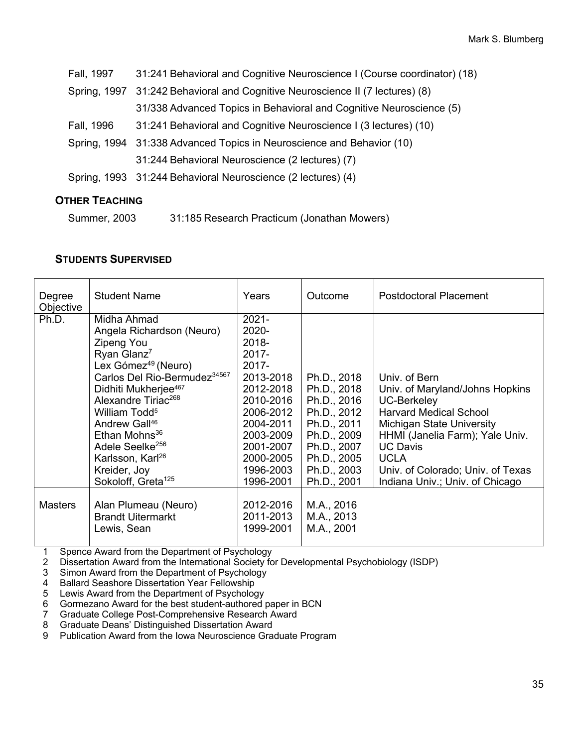| Fall, 1997 | 31:241 Behavioral and Cognitive Neuroscience I (Course coordinator) (18)      |  |  |
|------------|-------------------------------------------------------------------------------|--|--|
|            | Spring, 1997 31:242 Behavioral and Cognitive Neuroscience II (7 lectures) (8) |  |  |
|            | 31/338 Advanced Topics in Behavioral and Cognitive Neuroscience (5)           |  |  |
| Fall, 1996 | 31:241 Behavioral and Cognitive Neuroscience I (3 lectures) (10)              |  |  |
|            | Spring, 1994 31:338 Advanced Topics in Neuroscience and Behavior (10)         |  |  |
|            | 31:244 Behavioral Neuroscience (2 lectures) (7)                               |  |  |
|            | Spring, 1993 31:244 Behavioral Neuroscience (2 lectures) (4)                  |  |  |
|            |                                                                               |  |  |

## **OTHER TEACHING**

Summer, 2003 31:185 Research Practicum (Jonathan Mowers)

#### **STUDENTS SUPERVISED**

| Degree<br>Objective | <b>Student Name</b>                                                                                                                                                                                                                                                                                                                                           | Years                                                                                                                                      | Outcome                                                                                               | Postdoctoral Placement                                                                                                                                                                            |
|---------------------|---------------------------------------------------------------------------------------------------------------------------------------------------------------------------------------------------------------------------------------------------------------------------------------------------------------------------------------------------------------|--------------------------------------------------------------------------------------------------------------------------------------------|-------------------------------------------------------------------------------------------------------|---------------------------------------------------------------------------------------------------------------------------------------------------------------------------------------------------|
| Ph.D.               | Midha Ahmad<br>Angela Richardson (Neuro)<br>Zipeng You<br>Ryan Glanz <sup>7</sup><br>Lex Gómez <sup>49</sup> (Neuro)<br>Carlos Del Rio-Bermudez <sup>34567</sup><br>Didhiti Mukherjee <sup>467</sup><br>Alexandre Tiriac <sup>268</sup><br>William Todd <sup>5</sup><br>Andrew Gall <sup>46</sup><br>Ethan Mohns <sup>36</sup><br>Adele Seelke <sup>256</sup> | $2021 -$<br>2020-<br>2018-<br>2017-<br>$2017 -$<br>2013-2018<br>2012-2018<br>2010-2016<br>2006-2012<br>2004-2011<br>2003-2009<br>2001-2007 | Ph.D., 2018<br>Ph.D., 2018<br>Ph.D., 2016<br>Ph.D., 2012<br>Ph.D., 2011<br>Ph.D., 2009<br>Ph.D., 2007 | Univ. of Bern<br>Univ. of Maryland/Johns Hopkins<br><b>UC-Berkeley</b><br><b>Harvard Medical School</b><br><b>Michigan State University</b><br>HHMI (Janelia Farm); Yale Univ.<br><b>UC Davis</b> |
|                     | Karlsson, Karl <sup>26</sup><br>Kreider, Joy<br>Sokoloff, Greta <sup>125</sup>                                                                                                                                                                                                                                                                                | 2000-2005<br>1996-2003<br>1996-2001                                                                                                        | Ph.D., 2005<br>Ph.D., 2003<br>Ph.D., 2001                                                             | <b>UCLA</b><br>Univ. of Colorado; Univ. of Texas<br>Indiana Univ.; Univ. of Chicago                                                                                                               |
| <b>Masters</b>      | Alan Plumeau (Neuro)<br><b>Brandt Uitermarkt</b><br>Lewis, Sean                                                                                                                                                                                                                                                                                               | 2012-2016<br>2011-2013<br>1999-2001                                                                                                        | M.A., 2016<br>M.A., 2013<br>M.A., 2001                                                                |                                                                                                                                                                                                   |

1 Spence Award from the Department of Psychology<br>2 Dissertation Award from the International Society fo

2 Dissertation Award from the International Society for Developmental Psychobiology (ISDP)<br>3 Simon Award from the Department of Psychology

Simon Award from the Department of Psychology

4 Ballard Seashore Dissertation Year Fellowship<br>5 Lewis Award from the Department of Psycholog

5 Lewis Award from the Department of Psychology<br>6 Gormezano Award for the best student-authored

6 Gormezano Award for the best student-authored paper in BCN<br>7 Graduate College Post-Comprehensive Research Award

7 Graduate College Post-Comprehensive Research Award

8 Graduate Deans' Distinguished Dissertation Award

9 Publication Award from the Iowa Neuroscience Graduate Program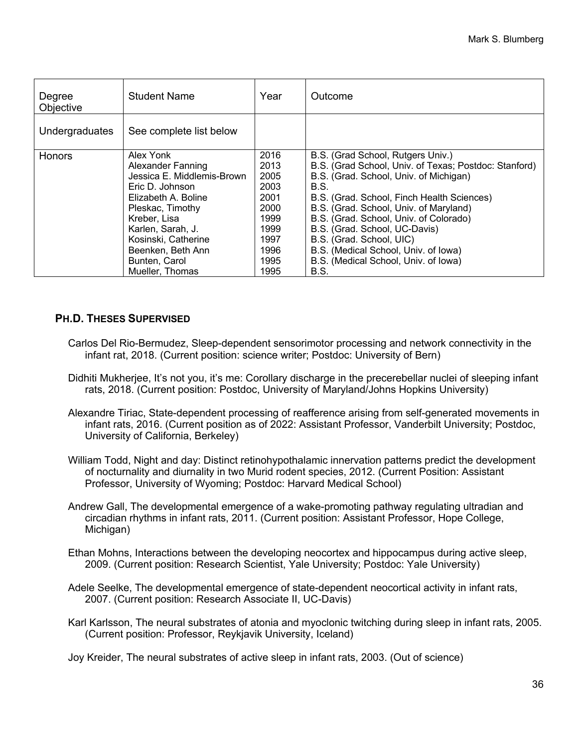| Degree<br>Objective | <b>Student Name</b>                                                                                                                                                                                                                             | Year                                                                                         | Outcome                                                                                                                                                                                                                                                                                                                                                                                                                             |
|---------------------|-------------------------------------------------------------------------------------------------------------------------------------------------------------------------------------------------------------------------------------------------|----------------------------------------------------------------------------------------------|-------------------------------------------------------------------------------------------------------------------------------------------------------------------------------------------------------------------------------------------------------------------------------------------------------------------------------------------------------------------------------------------------------------------------------------|
| Undergraduates      | See complete list below                                                                                                                                                                                                                         |                                                                                              |                                                                                                                                                                                                                                                                                                                                                                                                                                     |
| <b>Honors</b>       | Alex Yonk<br>Alexander Fanning<br>Jessica E. Middlemis-Brown<br>Eric D. Johnson<br>Elizabeth A. Boline<br>Pleskac, Timothy<br>Kreber, Lisa<br>Karlen, Sarah, J.<br>Kosinski, Catherine<br>Beenken, Beth Ann<br>Bunten, Carol<br>Mueller, Thomas | 2016<br>2013<br>2005<br>2003<br>2001<br>2000<br>1999<br>1999<br>1997<br>1996<br>1995<br>1995 | B.S. (Grad School, Rutgers Univ.)<br>B.S. (Grad School, Univ. of Texas; Postdoc: Stanford)<br>B.S. (Grad. School, Univ. of Michigan)<br>B.S.<br>B.S. (Grad. School, Finch Health Sciences)<br>B.S. (Grad. School, Univ. of Maryland)<br>B.S. (Grad. School, Univ. of Colorado)<br>B.S. (Grad. School, UC-Davis)<br>B.S. (Grad. School, UIC)<br>B.S. (Medical School, Univ. of Iowa)<br>B.S. (Medical School, Univ. of Iowa)<br>B.S. |

# **PH.D. THESES SUPERVISED**

- Carlos Del Rio-Bermudez, Sleep-dependent sensorimotor processing and network connectivity in the infant rat, 2018. (Current position: science writer; Postdoc: University of Bern)
- Didhiti Mukherjee, It's not you, it's me: Corollary discharge in the precerebellar nuclei of sleeping infant rats, 2018. (Current position: Postdoc, University of Maryland/Johns Hopkins University)
- Alexandre Tiriac, State-dependent processing of reafference arising from self-generated movements in infant rats, 2016. (Current position as of 2022: Assistant Professor, Vanderbilt University; Postdoc, University of California, Berkeley)
- William Todd, Night and day: Distinct retinohypothalamic innervation patterns predict the development of nocturnality and diurnality in two Murid rodent species, 2012. (Current Position: Assistant Professor, University of Wyoming; Postdoc: Harvard Medical School)
- Andrew Gall, The developmental emergence of a wake-promoting pathway regulating ultradian and circadian rhythms in infant rats, 2011. (Current position: Assistant Professor, Hope College, Michigan)
- Ethan Mohns, Interactions between the developing neocortex and hippocampus during active sleep, 2009. (Current position: Research Scientist, Yale University; Postdoc: Yale University)
- Adele Seelke, The developmental emergence of state-dependent neocortical activity in infant rats, 2007. (Current position: Research Associate II, UC-Davis)
- Karl Karlsson, The neural substrates of atonia and myoclonic twitching during sleep in infant rats, 2005. (Current position: Professor, Reykjavik University, Iceland)

Joy Kreider, The neural substrates of active sleep in infant rats, 2003. (Out of science)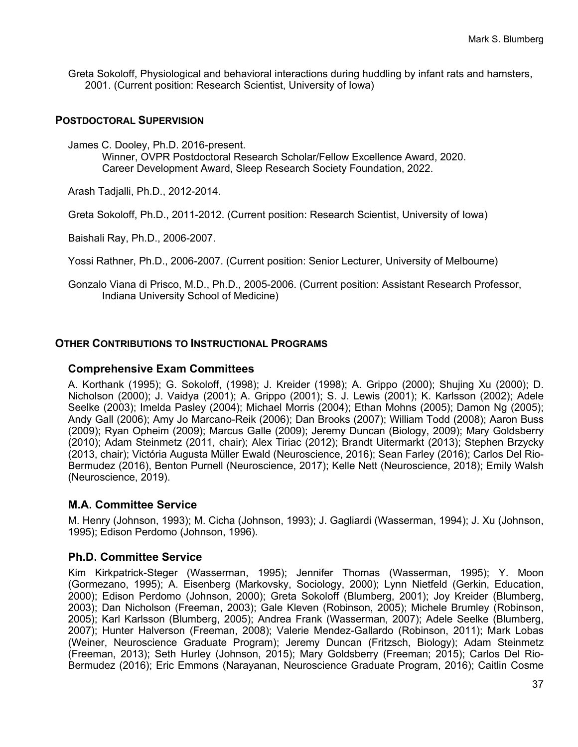Greta Sokoloff, Physiological and behavioral interactions during huddling by infant rats and hamsters, 2001. (Current position: Research Scientist, University of Iowa)

#### **POSTDOCTORAL SUPERVISION**

James C. Dooley, Ph.D. 2016-present. Winner, OVPR Postdoctoral Research Scholar/Fellow Excellence Award, 2020. Career Development Award, Sleep Research Society Foundation, 2022.

Arash Tadjalli, Ph.D., 2012-2014.

Greta Sokoloff, Ph.D., 2011-2012. (Current position: Research Scientist, University of Iowa)

Baishali Ray, Ph.D., 2006-2007.

Yossi Rathner, Ph.D., 2006-2007. (Current position: Senior Lecturer, University of Melbourne)

Gonzalo Viana di Prisco, M.D., Ph.D., 2005-2006. (Current position: Assistant Research Professor, Indiana University School of Medicine)

#### **OTHER CONTRIBUTIONS TO INSTRUCTIONAL PROGRAMS**

#### **Comprehensive Exam Committees**

A. Korthank (1995); G. Sokoloff, (1998); J. Kreider (1998); A. Grippo (2000); Shujing Xu (2000); D. Nicholson (2000); J. Vaidya (2001); A. Grippo (2001); S. J. Lewis (2001); K. Karlsson (2002); Adele Seelke (2003); Imelda Pasley (2004); Michael Morris (2004); Ethan Mohns (2005); Damon Ng (2005); Andy Gall (2006); Amy Jo Marcano-Reik (2006); Dan Brooks (2007); William Todd (2008); Aaron Buss (2009); Ryan Opheim (2009); Marcus Galle (2009); Jeremy Duncan (Biology, 2009); Mary Goldsberry (2010); Adam Steinmetz (2011, chair); Alex Tiriac (2012); Brandt Uitermarkt (2013); Stephen Brzycky (2013, chair); Victória Augusta Müller Ewald (Neuroscience, 2016); Sean Farley (2016); Carlos Del Rio-Bermudez (2016), Benton Purnell (Neuroscience, 2017); Kelle Nett (Neuroscience, 2018); Emily Walsh (Neuroscience, 2019).

#### **M.A. Committee Service**

M. Henry (Johnson, 1993); M. Cicha (Johnson, 1993); J. Gagliardi (Wasserman, 1994); J. Xu (Johnson, 1995); Edison Perdomo (Johnson, 1996).

#### **Ph.D. Committee Service**

Kim Kirkpatrick-Steger (Wasserman, 1995); Jennifer Thomas (Wasserman, 1995); Y. Moon (Gormezano, 1995); A. Eisenberg (Markovsky, Sociology, 2000); Lynn Nietfeld (Gerkin, Education, 2000); Edison Perdomo (Johnson, 2000); Greta Sokoloff (Blumberg, 2001); Joy Kreider (Blumberg, 2003); Dan Nicholson (Freeman, 2003); Gale Kleven (Robinson, 2005); Michele Brumley (Robinson, 2005); Karl Karlsson (Blumberg, 2005); Andrea Frank (Wasserman, 2007); Adele Seelke (Blumberg, 2007); Hunter Halverson (Freeman, 2008); Valerie Mendez-Gallardo (Robinson, 2011); Mark Lobas (Weiner, Neuroscience Graduate Program); Jeremy Duncan (Fritzsch, Biology); Adam Steinmetz (Freeman, 2013); Seth Hurley (Johnson, 2015); Mary Goldsberry (Freeman; 2015); Carlos Del Rio-Bermudez (2016); Eric Emmons (Narayanan, Neuroscience Graduate Program, 2016); Caitlin Cosme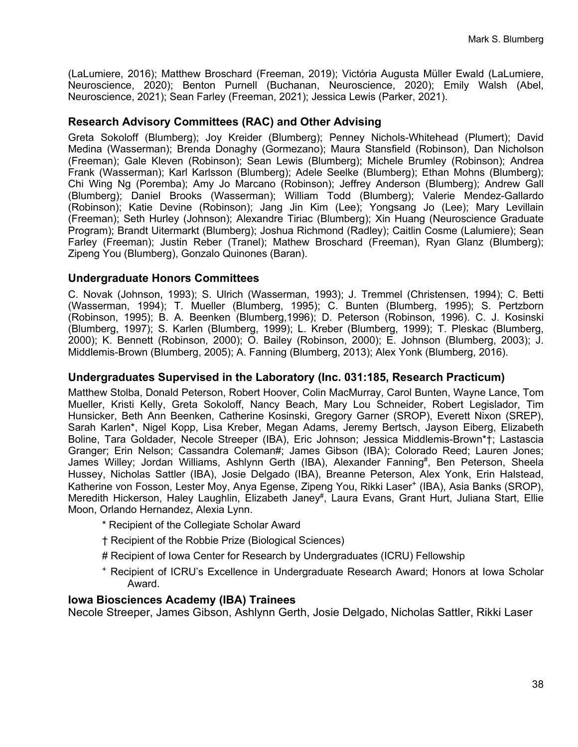(LaLumiere, 2016); Matthew Broschard (Freeman, 2019); Victória Augusta Müller Ewald (LaLumiere, Neuroscience, 2020); Benton Purnell (Buchanan, Neuroscience, 2020); Emily Walsh (Abel, Neuroscience, 2021); Sean Farley (Freeman, 2021); Jessica Lewis (Parker, 2021).

## **Research Advisory Committees (RAC) and Other Advising**

Greta Sokoloff (Blumberg); Joy Kreider (Blumberg); Penney Nichols-Whitehead (Plumert); David Medina (Wasserman); Brenda Donaghy (Gormezano); Maura Stansfield (Robinson), Dan Nicholson (Freeman); Gale Kleven (Robinson); Sean Lewis (Blumberg); Michele Brumley (Robinson); Andrea Frank (Wasserman); Karl Karlsson (Blumberg); Adele Seelke (Blumberg); Ethan Mohns (Blumberg); Chi Wing Ng (Poremba); Amy Jo Marcano (Robinson); Jeffrey Anderson (Blumberg); Andrew Gall (Blumberg); Daniel Brooks (Wasserman); William Todd (Blumberg); Valerie Mendez-Gallardo (Robinson); Katie Devine (Robinson); Jang Jin Kim (Lee); Yongsang Jo (Lee); Mary Levillain (Freeman); Seth Hurley (Johnson); Alexandre Tiriac (Blumberg); Xin Huang (Neuroscience Graduate Program); Brandt Uitermarkt (Blumberg); Joshua Richmond (Radley); Caitlin Cosme (Lalumiere); Sean Farley (Freeman); Justin Reber (Tranel); Mathew Broschard (Freeman), Ryan Glanz (Blumberg); Zipeng You (Blumberg), Gonzalo Quinones (Baran).

#### **Undergraduate Honors Committees**

C. Novak (Johnson, 1993); S. Ulrich (Wasserman, 1993); J. Tremmel (Christensen, 1994); C. Betti (Wasserman, 1994); T. Mueller (Blumberg, 1995); C. Bunten (Blumberg, 1995); S. Pertzborn (Robinson, 1995); B. A. Beenken (Blumberg,1996); D. Peterson (Robinson, 1996). C. J. Kosinski (Blumberg, 1997); S. Karlen (Blumberg, 1999); L. Kreber (Blumberg, 1999); T. Pleskac (Blumberg, 2000); K. Bennett (Robinson, 2000); O. Bailey (Robinson, 2000); E. Johnson (Blumberg, 2003); J. Middlemis-Brown (Blumberg, 2005); A. Fanning (Blumberg, 2013); Alex Yonk (Blumberg, 2016).

#### **Undergraduates Supervised in the Laboratory (Inc. 031:185, Research Practicum)**

Matthew Stolba, Donald Peterson, Robert Hoover, Colin MacMurray, Carol Bunten, Wayne Lance, Tom Mueller, Kristi Kelly, Greta Sokoloff, Nancy Beach, Mary Lou Schneider, Robert Legislador, Tim Hunsicker, Beth Ann Beenken, Catherine Kosinski, Gregory Garner (SROP), Everett Nixon (SREP), Sarah Karlen\*, Nigel Kopp, Lisa Kreber, Megan Adams, Jeremy Bertsch, Jayson Eiberg, Elizabeth Boline, Tara Goldader, Necole Streeper (IBA), Eric Johnson; Jessica Middlemis-Brown\*†; Lastascia Granger; Erin Nelson; Cassandra Coleman#; James Gibson (IBA); Colorado Reed; Lauren Jones; James Willey; Jordan Williams, Ashlynn Gerth (IBA), Alexander Fanning<sup>#</sup>, Ben Peterson, Sheela Hussey, Nicholas Sattler (IBA), Josie Delgado (IBA), Breanne Peterson, Alex Yonk, Erin Halstead, Katherine von Fosson, Lester Moy, Anya Egense, Zipeng You, Rikki Laser<sup>+</sup> (IBA), Asia Banks (SROP), Meredith Hickerson, Haley Laughlin, Elizabeth Janey<sup>#</sup>, Laura Evans, Grant Hurt, Juliana Start, Ellie Moon, Orlando Hernandez, Alexia Lynn.

- \* Recipient of the Collegiate Scholar Award
- † Recipient of the Robbie Prize (Biological Sciences)
- # Recipient of Iowa Center for Research by Undergraduates (ICRU) Fellowship
- <sup>+</sup> Recipient of ICRU's Excellence in Undergraduate Research Award; Honors at Iowa Scholar Award.

#### **Iowa Biosciences Academy (IBA) Trainees**

Necole Streeper, James Gibson, Ashlynn Gerth, Josie Delgado, Nicholas Sattler, Rikki Laser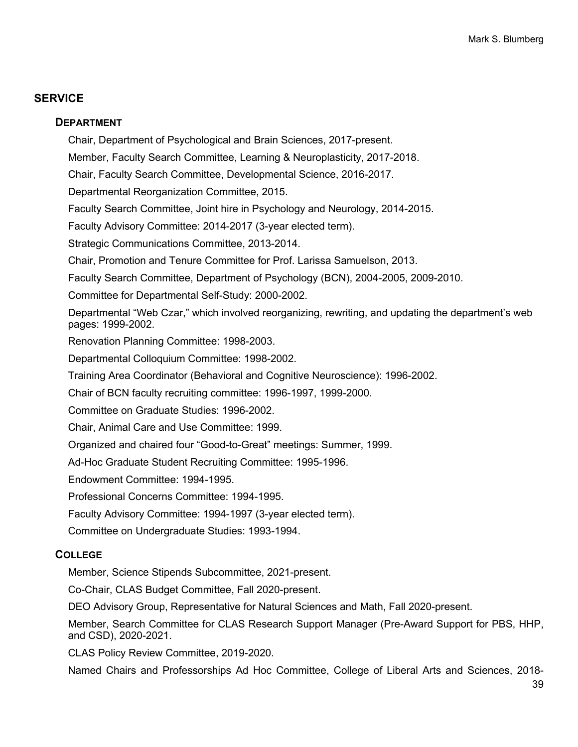# **SERVICE**

## **DEPARTMENT**

Chair, Department of Psychological and Brain Sciences, 2017-present. Member, Faculty Search Committee, Learning & Neuroplasticity, 2017-2018. Chair, Faculty Search Committee, Developmental Science, 2016-2017. Departmental Reorganization Committee, 2015. Faculty Search Committee, Joint hire in Psychology and Neurology, 2014-2015. Faculty Advisory Committee: 2014-2017 (3-year elected term). Strategic Communications Committee, 2013-2014. Chair, Promotion and Tenure Committee for Prof. Larissa Samuelson, 2013. Faculty Search Committee, Department of Psychology (BCN), 2004-2005, 2009-2010. Committee for Departmental Self-Study: 2000-2002. Departmental "Web Czar," which involved reorganizing, rewriting, and updating the department's web pages: 1999-2002. Renovation Planning Committee: 1998-2003. Departmental Colloquium Committee: 1998-2002. Training Area Coordinator (Behavioral and Cognitive Neuroscience): 1996-2002. Chair of BCN faculty recruiting committee: 1996-1997, 1999-2000. Committee on Graduate Studies: 1996-2002. Chair, Animal Care and Use Committee: 1999. Organized and chaired four "Good-to-Great" meetings: Summer, 1999. Ad-Hoc Graduate Student Recruiting Committee: 1995-1996. Endowment Committee: 1994-1995. Professional Concerns Committee: 1994-1995. Faculty Advisory Committee: 1994-1997 (3-year elected term). Committee on Undergraduate Studies: 1993-1994.

# **COLLEGE**

Member, Science Stipends Subcommittee, 2021-present.

Co-Chair, CLAS Budget Committee, Fall 2020-present.

DEO Advisory Group, Representative for Natural Sciences and Math, Fall 2020-present.

Member, Search Committee for CLAS Research Support Manager (Pre-Award Support for PBS, HHP, and CSD), 2020-2021.

CLAS Policy Review Committee, 2019-2020.

Named Chairs and Professorships Ad Hoc Committee, College of Liberal Arts and Sciences, 2018-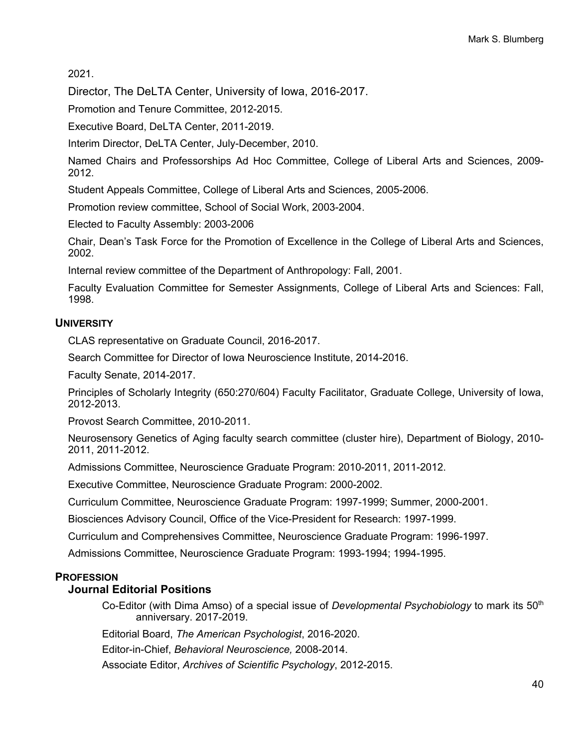2021.

Director, The DeLTA Center, University of Iowa, 2016-2017.

Promotion and Tenure Committee, 2012-2015.

Executive Board, DeLTA Center, 2011-2019.

Interim Director, DeLTA Center, July-December, 2010.

Named Chairs and Professorships Ad Hoc Committee, College of Liberal Arts and Sciences, 2009- 2012.

Student Appeals Committee, College of Liberal Arts and Sciences, 2005-2006.

Promotion review committee, School of Social Work, 2003-2004.

Elected to Faculty Assembly: 2003-2006

Chair, Dean's Task Force for the Promotion of Excellence in the College of Liberal Arts and Sciences, 2002.

Internal review committee of the Department of Anthropology: Fall, 2001.

Faculty Evaluation Committee for Semester Assignments, College of Liberal Arts and Sciences: Fall, 1998.

## **UNIVERSITY**

CLAS representative on Graduate Council, 2016-2017.

Search Committee for Director of Iowa Neuroscience Institute, 2014-2016.

Faculty Senate, 2014-2017.

Principles of Scholarly Integrity (650:270/604) Faculty Facilitator, Graduate College, University of Iowa, 2012-2013.

Provost Search Committee, 2010-2011.

Neurosensory Genetics of Aging faculty search committee (cluster hire), Department of Biology, 2010- 2011, 2011-2012.

Admissions Committee, Neuroscience Graduate Program: 2010-2011, 2011-2012.

Executive Committee, Neuroscience Graduate Program: 2000-2002.

Curriculum Committee, Neuroscience Graduate Program: 1997-1999; Summer, 2000-2001.

Biosciences Advisory Council, Office of the Vice-President for Research: 1997-1999.

Curriculum and Comprehensives Committee, Neuroscience Graduate Program: 1996-1997.

Admissions Committee, Neuroscience Graduate Program: 1993-1994; 1994-1995.

#### **PROFESSION**

#### **Journal Editorial Positions**

Co-Editor (with Dima Amso) of a special issue of *Developmental Psychobiology* to mark its 50<sup>th</sup> anniversary. 2017-2019.

Editorial Board, *The American Psychologist*, 2016-2020.

Editor-in-Chief, *Behavioral Neuroscience,* 2008-2014.

Associate Editor, *Archives of Scientific Psychology*, 2012-2015.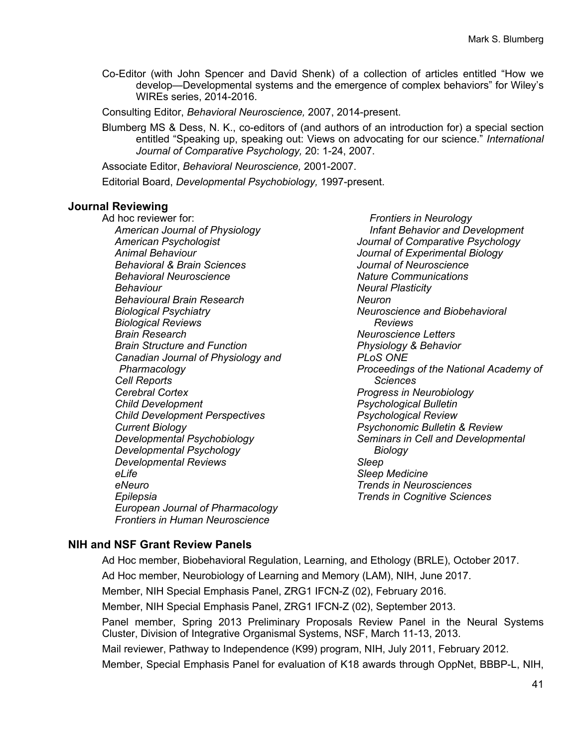Co-Editor (with John Spencer and David Shenk) of a collection of articles entitled "How we develop—Developmental systems and the emergence of complex behaviors" for Wiley's WIREs series, 2014-2016.

Consulting Editor, *Behavioral Neuroscience,* 2007, 2014-present.

Blumberg MS & Dess, N. K., co-editors of (and authors of an introduction for) a special section entitled "Speaking up, speaking out: Views on advocating for our science." *International Journal of Comparative Psychology,* 20: 1-24, 2007.

Associate Editor, *Behavioral Neuroscience,* 2001-2007.

Editorial Board, *Developmental Psychobiology,* 1997-present.

## **Journal Reviewing**

Ad hoc reviewer for: *American Journal of Physiology American Psychologist Animal Behaviour Behavioral & Brain Sciences Behavioral Neuroscience Behaviour Behavioural Brain Research Biological Psychiatry Biological Reviews Brain Research Brain Structure and Function Canadian Journal of Physiology and Pharmacology Cell Reports Cerebral Cortex Child Development Child Development Perspectives Current Biology Developmental Psychobiology Developmental Psychology Developmental Reviews eLife eNeuro Epilepsia European Journal of Pharmacology Frontiers in Human Neuroscience*

*Frontiers in Neurology Infant Behavior and Development Journal of Comparative Psychology Journal of Experimental Biology Journal of Neuroscience Nature Communications Neural Plasticity Neuron Neuroscience and Biobehavioral Reviews Neuroscience Letters Physiology & Behavior PLoS ONE Proceedings of the National Academy of Sciences Progress in Neurobiology Psychological Bulletin Psychological Review Psychonomic Bulletin & Review Seminars in Cell and Developmental Biology Sleep Sleep Medicine Trends in Neurosciences Trends in Cognitive Sciences*

# **NIH and NSF Grant Review Panels**

Ad Hoc member, Biobehavioral Regulation, Learning, and Ethology (BRLE), October 2017. Ad Hoc member, Neurobiology of Learning and Memory (LAM), NIH, June 2017.

Member, NIH Special Emphasis Panel, ZRG1 IFCN-Z (02), February 2016.

Member, NIH Special Emphasis Panel, ZRG1 IFCN-Z (02), September 2013.

Panel member, Spring 2013 Preliminary Proposals Review Panel in the Neural Systems Cluster, Division of Integrative Organismal Systems, NSF, March 11-13, 2013.

Mail reviewer, Pathway to Independence (K99) program, NIH, July 2011, February 2012.

Member, Special Emphasis Panel for evaluation of K18 awards through OppNet, BBBP-L, NIH,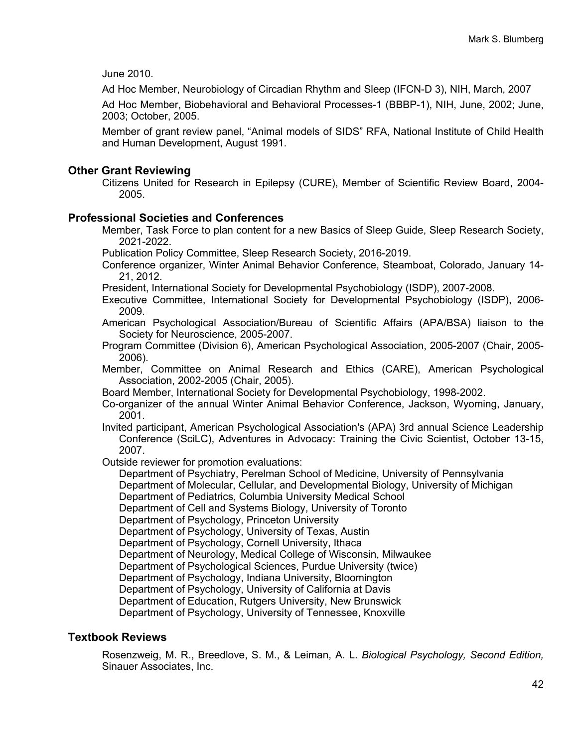June 2010.

Ad Hoc Member, Neurobiology of Circadian Rhythm and Sleep (IFCN-D 3), NIH, March, 2007

Ad Hoc Member, Biobehavioral and Behavioral Processes-1 (BBBP-1), NIH, June, 2002; June, 2003; October, 2005.

Member of grant review panel, "Animal models of SIDS" RFA, National Institute of Child Health and Human Development, August 1991.

## **Other Grant Reviewing**

Citizens United for Research in Epilepsy (CURE), Member of Scientific Review Board, 2004- 2005.

## **Professional Societies and Conferences**

Member, Task Force to plan content for a new Basics of Sleep Guide, Sleep Research Society, 2021-2022.

Publication Policy Committee, Sleep Research Society, 2016-2019.

Conference organizer, Winter Animal Behavior Conference, Steamboat, Colorado, January 14- 21, 2012.

President, International Society for Developmental Psychobiology (ISDP), 2007-2008.

Executive Committee, International Society for Developmental Psychobiology (ISDP), 2006- 2009.

American Psychological Association/Bureau of Scientific Affairs (APA/BSA) liaison to the Society for Neuroscience, 2005-2007.

Program Committee (Division 6), American Psychological Association, 2005-2007 (Chair, 2005- 2006).

Member, Committee on Animal Research and Ethics (CARE), American Psychological Association, 2002-2005 (Chair, 2005).

Board Member, International Society for Developmental Psychobiology, 1998-2002.

Co-organizer of the annual Winter Animal Behavior Conference, Jackson, Wyoming, January, 2001.

Invited participant, American Psychological Association's (APA) 3rd annual Science Leadership Conference (SciLC), Adventures in Advocacy: Training the Civic Scientist, October 13-15, 2007.

Outside reviewer for promotion evaluations:

Department of Psychiatry, Perelman School of Medicine, University of Pennsylvania

Department of Molecular, Cellular, and Developmental Biology, University of Michigan

Department of Pediatrics, Columbia University Medical School

Department of Cell and Systems Biology, University of Toronto

Department of Psychology, Princeton University

Department of Psychology, University of Texas, Austin

Department of Psychology, Cornell University, Ithaca

Department of Neurology, Medical College of Wisconsin, Milwaukee

Department of Psychological Sciences, Purdue University (twice)

Department of Psychology, Indiana University, Bloomington

Department of Psychology, University of California at Davis

Department of Education, Rutgers University, New Brunswick

Department of Psychology, University of Tennessee, Knoxville

## **Textbook Reviews**

Rosenzweig, M. R., Breedlove, S. M., & Leiman, A. L. *Biological Psychology, Second Edition,* Sinauer Associates, Inc.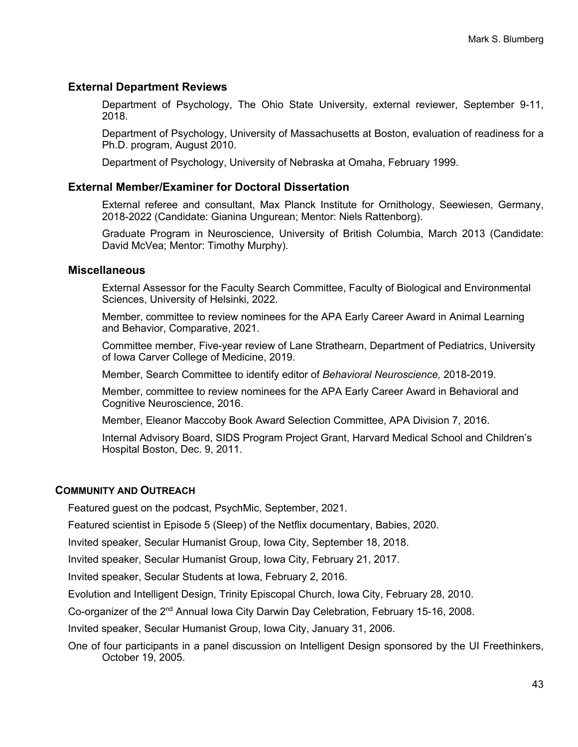## **External Department Reviews**

Department of Psychology, The Ohio State University, external reviewer, September 9-11, 2018.

Department of Psychology, University of Massachusetts at Boston, evaluation of readiness for a Ph.D. program, August 2010.

Department of Psychology, University of Nebraska at Omaha, February 1999.

#### **External Member/Examiner for Doctoral Dissertation**

External referee and consultant, Max Planck Institute for Ornithology, Seewiesen, Germany, 2018-2022 (Candidate: Gianina Ungurean; Mentor: Niels Rattenborg).

Graduate Program in Neuroscience, University of British Columbia, March 2013 (Candidate: David McVea; Mentor: Timothy Murphy).

#### **Miscellaneous**

External Assessor for the Faculty Search Committee, Faculty of Biological and Environmental Sciences, University of Helsinki, 2022.

Member, committee to review nominees for the APA Early Career Award in Animal Learning and Behavior, Comparative, 2021.

Committee member, Five-year review of Lane Strathearn, Department of Pediatrics, University of Iowa Carver College of Medicine, 2019.

Member, Search Committee to identify editor of *Behavioral Neuroscience,* 2018-2019.

Member, committee to review nominees for the APA Early Career Award in Behavioral and Cognitive Neuroscience, 2016.

Member, Eleanor Maccoby Book Award Selection Committee, APA Division 7, 2016.

Internal Advisory Board, SIDS Program Project Grant, Harvard Medical School and Children's Hospital Boston, Dec. 9, 2011.

#### **COMMUNITY AND OUTREACH**

Featured guest on the podcast, PsychMic, September, 2021.

Featured scientist in Episode 5 (Sleep) of the Netflix documentary, Babies, 2020.

Invited speaker, Secular Humanist Group, Iowa City, September 18, 2018.

Invited speaker, Secular Humanist Group, Iowa City, February 21, 2017.

Invited speaker, Secular Students at Iowa, February 2, 2016.

Evolution and Intelligent Design, Trinity Episcopal Church, Iowa City, February 28, 2010.

Co-organizer of the 2<sup>nd</sup> Annual Iowa City Darwin Day Celebration, February 15-16, 2008.

Invited speaker, Secular Humanist Group, Iowa City, January 31, 2006.

One of four participants in a panel discussion on Intelligent Design sponsored by the UI Freethinkers, October 19, 2005.